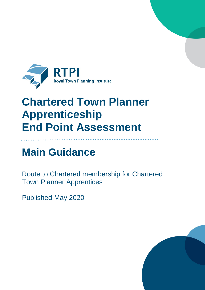

# **Chartered Town Planner Apprenticeship End Point Assessment**

# **Main Guidance**

Route to Chartered membership for Chartered Town Planner Apprentices

Published May 2020

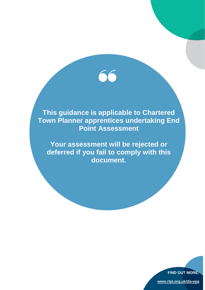**This guidance is applicable to Chartered Town Planner apprentices undertaking End Point Assessment**

**Your assessment will be rejected or deferred if you fail to comply with this document.**

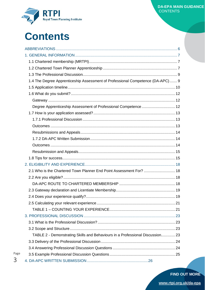



# **Contents**

| 1.4 The Degree Apprenticeship Assessment of Professional Competence (DA-APC) 9 |  |
|--------------------------------------------------------------------------------|--|
|                                                                                |  |
|                                                                                |  |
|                                                                                |  |
| Degree Apprenticeship Assessment of Professional Competence 12                 |  |
|                                                                                |  |
|                                                                                |  |
|                                                                                |  |
|                                                                                |  |
|                                                                                |  |
|                                                                                |  |
|                                                                                |  |
|                                                                                |  |
|                                                                                |  |
| 2.1 Who is the Chartered Town Planner End Point Assessment For?  18            |  |
|                                                                                |  |
|                                                                                |  |
|                                                                                |  |
|                                                                                |  |
|                                                                                |  |
|                                                                                |  |
|                                                                                |  |
|                                                                                |  |
|                                                                                |  |
| TABLE 2 - Demonstrating Skills and Behaviours in a Professional Discussion 23  |  |
|                                                                                |  |
|                                                                                |  |
|                                                                                |  |
| 26<br>A IDALADO MIDITTEN SHRMISSIONI                                           |  |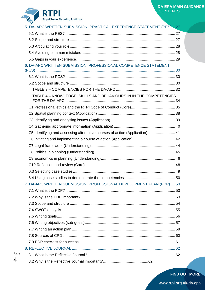**RTPI**<br>Royal Town Planning Institute  $\mathcal{L}$ 

| 5. DA- APC WRITTEN SUBMISSION: PRACTICAL EXPERIENCE STATEMENT (PES)27        |    |
|------------------------------------------------------------------------------|----|
|                                                                              |    |
|                                                                              |    |
|                                                                              |    |
|                                                                              |    |
|                                                                              |    |
| 6. DA-APC WRITTEN SUBMISSION: PROFESSIONAL COMPETENCE STATEMENT              |    |
|                                                                              |    |
|                                                                              |    |
|                                                                              |    |
|                                                                              |    |
| TABLE 4 - KNOWLEDGE, SKILLS AND BEHAVIOURS IN IN THE COMPETENCIES            |    |
|                                                                              |    |
|                                                                              |    |
|                                                                              |    |
|                                                                              |    |
| C5 Identifying and assessing alternative courses of action (Application)  41 |    |
|                                                                              |    |
|                                                                              |    |
|                                                                              |    |
|                                                                              |    |
|                                                                              |    |
|                                                                              |    |
|                                                                              | 50 |
| 7. DA-APC WRITTEN SUBMISSION: PROFESSIONAL DEVELOPMENT PLAN (PDP)  53        |    |
|                                                                              |    |
|                                                                              |    |
|                                                                              |    |
|                                                                              |    |
|                                                                              |    |
|                                                                              |    |
|                                                                              |    |
|                                                                              |    |
|                                                                              |    |
|                                                                              |    |
|                                                                              |    |
|                                                                              |    |

Page 4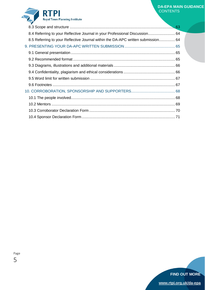

| 8.4 Referring to your Reflective Journal in your Professional Discussion 64      |  |
|----------------------------------------------------------------------------------|--|
| 8.5 Referring to your Reflective Journal within the DA-APC written submission 64 |  |
|                                                                                  |  |
|                                                                                  |  |
|                                                                                  |  |
|                                                                                  |  |
|                                                                                  |  |
|                                                                                  |  |
|                                                                                  |  |
|                                                                                  |  |
|                                                                                  |  |
|                                                                                  |  |
|                                                                                  |  |
|                                                                                  |  |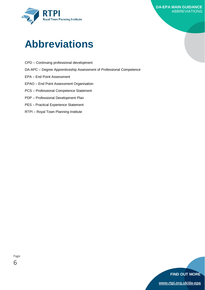



# <span id="page-5-0"></span>**Abbreviations**

- CPD Continuing professional development
- DA-APC Degree Apprenticeship Assessment of Professional Competence
- EPA End Point Assessment
- EPAO End Point Assessment Organisation
- PCS Professional Competence Statement
- PDP Professional Development Plan
- PES Practical Experience Statement
- RTPI Royal Town Planning Institute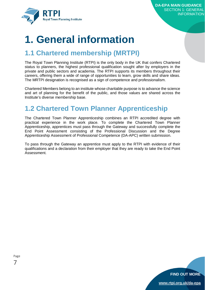

# <span id="page-6-0"></span>**1. General information**

### <span id="page-6-1"></span>**1.1 Chartered membership (MRTPI)**

The Royal Town Planning Institute (RTPI) is the only body in the UK that confers Chartered status to planners, the highest professional qualification sought after by employers in the private and public sectors and academia. The RTPI supports its members throughout their careers, offering them a wide of range of opportunities to learn, grow skills and share ideas. The MRTPI designation is recognised as a sign of competence and professionalism.

Chartered Members belong to an institute whose charitable purpose is to advance the science and art of planning for the benefit of the public, and those values are shared across the Institute's diverse membership base.

### <span id="page-6-2"></span>**1.2 Chartered Town Planner Apprenticeship**

The Chartered Town Planner Apprenticeship combines an RTPI accredited degree with practical experience in the work place. To complete the Chartered Town Planner Apprenticeship, apprentices must pass through the Gateway and successfully complete the End Point Assessment consisting of the Professional Discussion and the Degree Apprenticeship Assessment of Professional Competence (DA-APC) written submission.

To pass through the Gateway an apprentice must apply to the RTPI with evidence of their qualifications and a declaration from their employer that they are ready to take the End Point Assessment.

Page 7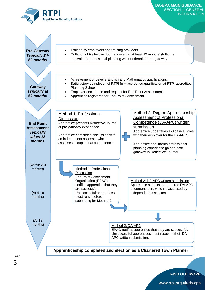



**FIND OUT MORE**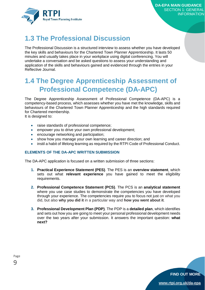

## <span id="page-8-0"></span>**1.3 The Professional Discussion**

The Professional Discussion is a structured interview to assess whether you have developed the key skills and behaviours for the Chartered Town Planner Apprenticeship. It lasts 50 minutes and usually takes place in your workplace using digital conferencing. You will undertake a conversation and be asked questions to assess your understanding and application of the skills and behaviours gained and evidenced through the entries in your Reflective Journal.

### <span id="page-8-1"></span>**1.4 The Degree Apprenticeship Assessment of Professional Competence (DA-APC)**

The Degree Apprenticeship Assessment of Professional Competence (DA-APC) is a competency-based process, which assesses whether you have met the knowledge, skills and behaviours of the Chartered Town Planner Apprenticeship and the high standards required for Chartered membership.

It is designed to:

- raise standards of professional competence;
- empower you to drive your own professional development;
- encourage networking and participation;
- show how you manage your own learning and career direction; and
- instil a habit of lifelong learning as required by the RTPI Code of Professional Conduct.

#### **ELEMENTS OF THE DA-APC WRITTEN SUBMISSION**

The DA-APC application is focused on a written submission of three sections:

- **1. Practical Experience Statement (PES)**. The PES is an **overview statement**, which sets out what **relevant experience** you have gained to meet the eligibility requirements.
- **2. Professional Competence Statement (PCS)**. The PCS is an **analytical statement** where you use case studies to demonstrate the competencies you have developed through your experience. The competencies require you to focus not just on what you did, but also **why you did it** in a particular way and **how you went about it**.
- **3. Professional Development Plan (PDP)**. The PDP is a **detailed plan**, which identifies and sets out how you are going to meet your personal professional development needs over the two years after your submission. It answers the important question: **what next?**

Page  $\mathsf{Q}$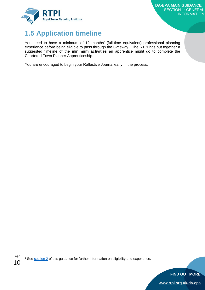

## <span id="page-9-0"></span>**1.5 Application timeline**

You need to have a minimum of 12 months' (full-time equivalent) professional planning experience before being eligible to pass through the Gateway<sup>[1](#page-9-1)</sup>. The RTPI has put together a suggested timeline of the **minimum activities** an apprentice might do to complete the Chartered Town Planner Apprenticeship.

You are encouraged to begin your Reflective Journal early in the process.

<span id="page-9-1"></span>Page 10 **.** <sup>1</sup> See section 2 of this guidance for further information on eligibility and experience.

**FIND OUT MORE**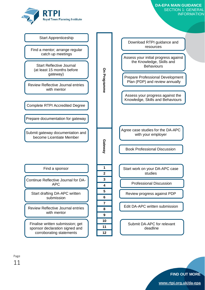

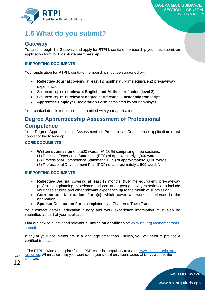

# <span id="page-11-0"></span>**1.6 What do you submit?**

### <span id="page-11-1"></span>**Gateway**

To pass through the Gateway and apply for RTPI Licentiate membership you must submit an application form for **Licentiate membership**.

#### **SUPPORTING DOCUMENTS**

Your application for RTPI Licentiate membership must be supported by:

- **Reflective Journal** covering at least 12 months' (full-time equivalent) pre-gateway experience.
- Scanned copies of **relevant English and Maths certificates (level 2**)
- Scanned copies of **relevant degree certificates** or **academic transcript**
- **Apprentice Employer Declaration Form** completed by your employer.

Your contact details must also be submitted with your application.

### <span id="page-11-2"></span>**Degree Apprenticeship Assessment of Professional Competence**

Your Degree Apprenticeship Assessment of Professional Competence application **must** consist of the following:

#### **CORE DOCUMENTS**

- **Written submission** of 5,500 words (+/- 10%) comprising three sections:
	- (1) Practical Experience Statement (PES) of approximately 1,000 words.
	- (2) Professional Competence Statement (PCS) of approximately 3,000 words.
	- (3) Professional Development Plan (PDP) of approximately 1,500 words<sup>[2](#page-11-3)</sup>.

#### **SUPPORTING DOCUMENTS**

- **Reflective Journal** covering at least 12 months' (full-time equivalent) pre-gateway professional planning experience and continued post-gateway experience to include your case studies and other relevant experience up to the month of submission.
- **Corroborator Declaration Form(s)** which cover **all** work experience in the application.
- **Sponsor Declaration Form** completed by a Chartered Town Planner.

Your contact details, education history and work experience information must also be submitted as part of your application.

Find out how to submit and relevant **submission deadlines** at: [www.rtpi.org.uk/membership](http://www.rtpi.org.uk/membership-submit)[submit.](http://www.rtpi.org.uk/membership-submit)

If any of your documents are in a language other than English, you will need to provide a certified translation.

<span id="page-11-3"></span>Page [resources.](http://www.rtpi.org.uk/da-epa-resources) When calculating your word count, you should only count words which **you** add to the template.

 $\overline{a}$ 

<sup>&</sup>lt;sup>2</sup> The RTPI provides a template for the PDP which is compulsory to use at: [www.rtpi.org.uk/da-epa-](http://www.rtpi.org.uk/da-epa-resources)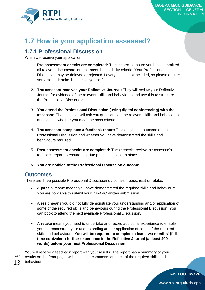

## <span id="page-12-0"></span>**1.7 How is your application assessed?**

### <span id="page-12-1"></span>**1.7.1 Professional Discussion**

When we receive your application:

- 1. **Pre-assessment checks are completed:** These checks ensure you have submitted all relevant documentation and meet the eligibility criteria. Your Professional Discussion may be delayed or rejected if everything is not included, so please ensure you also undertake the checks yourself.
- 2. **The assessor receives your Reflective Journal:** They will review your Reflective Journal for evidence of the relevant skills and behaviours and use this to structure the Professional Discussion.
- 3. **You attend the Professional Discussion (using digital conferencing) with the assessor:** The assessor will ask you questions on the relevant skills and behaviours and assess whether you meet the pass criteria.
- 4. **The assessor completes a feedback report:** This details the outcome of the Professional Discussion and whether you have demonstrated the skills and behaviours required.
- 5. **Post-assessment checks are completed:** These checks review the assessor's feedback report to ensure that due process has taken place.
- 6. **You are notified of the Professional Discussion outcome.**

### <span id="page-12-2"></span>**Outcomes**

There are three possible Professional Discussion outcomes – pass, resit or retake.

- A **pass** outcome means you have demonstrated the required skills and behaviours. You are now able to submit your DA-APC written submission.
- A **resit** means you did not fully demonstrate your understanding and/or application of some of the required skills and behaviours during the Professional Discussion. You can book to attend the next available Professional Discussion.
- A **retake** means you need to undertake and record additional experience to enable you to demonstrate your understanding and/or application of some of the required skills and behaviours. **You will be required to complete a least two months' (fulltime equivalent) further experience in the Reflective Journal (at least 400 words) before your next Professional Discussion**.

Page 13 You will receive a feedback report with your results. The report has a summary of your results on the front page, with assessor comments on each of the required skills and behaviours.

#### **FIND OUT MORE**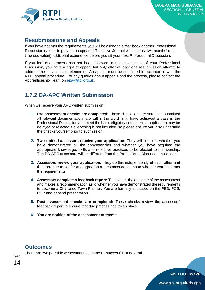

### <span id="page-13-0"></span>**Resubmissions and Appeals**

If you have not met the requirements you will be asked to either book another Professional Discussion date or to provide an updated Reflective Journal with at least two months' (fulltime equivalent) additional experience before you sit your next Professional Discussion.

If you feel due process has not been followed in the assessment of your Professional Discussion, you have a right of appeal but only after at least one resubmission attempt to address the unsuccessful elements. An appeal must be submitted in accordance with the RTPI appeal procedure. For any queries about appeals and the process, please contact the Apprenticeship Team on [epa@rtpi.org.uk.](mailto:epa@rtpi.org.uk)

### <span id="page-13-1"></span>**1.7.2 DA-APC Written Submission**

When we receive your APC written submission:

- **1. Pre-assessment checks are completed:** These checks ensure you have submitted all relevant documentation, are within the word limit, have achieved a pass in the Professional Discussion and meet the basic eligibility criteria. Your application may be delayed or rejected if everything is not included, so please ensure you also undertake the checks yourself prior to submission.
- **2. Two trained assessors receive your application:** They will consider whether you have demonstrated all the competencies and whether you have acquired the appropriate knowledge, skills and reflective practices to be elected to membership. The DA-APC assessors will be different from the Professional Discussion assessor.
- **3. Assessors review your application:** They do this independently of each other and then arrange to confer and agree on a recommendation as to whether you have met the requirements.
- **4. Assessors complete a feedback report:** This details the outcome of the assessment and makes a recommendation as to whether you have demonstrated the requirements to become a Chartered Town Planner. You are formally assessed on the PES, PCS, PDP and general presentation.
- **5. Post-assessment checks are completed:** These checks review the assessors' feedback report to ensure that due process has taken place.
- **6. You are notified of the assessment outcome.**

### <span id="page-13-2"></span>**Outcomes**

There are two possible assessment outcomes – successful or deferral.

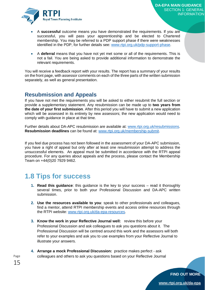

- A **successful** outcome means you have demonstrated the requirements. If you are successful, you will pass your apprenticeship and be elected to Chartered membership. You may be referred to a PDP support phase if there were weaknesses identified in the PDP, for further details see: [www.rtpi.org.uk/pdp-support-phase.](http://www.rtpi.org.uk/pdp-support-phase)
- A **deferral** means that you have not yet met some or all of the requirements. This is not a fail. You are being asked to provide additional information to demonstrate the relevant requirements.

You will receive a feedback report with your results. The report has a summary of your results on the front page, with assessor comments on each of the three parts of the written submission separately, as well as general presentation.

### <span id="page-14-0"></span>**Resubmission and Appeals**

If you have not met the requirements you will be asked to either resubmit the full section or provide a supplementary statement. Any resubmission can be made up to **two years from the date of your first submission**. After this period you will have to submit a new application which will be assessed in its entirety by new assessors; the new application would need to comply with guidance in place at that time.

Further details about DA-APC resubmission are available at: [www.rtpi.org.uk/resubmissions.](http://www.rtpi.org.uk/resubmissions) **Resubmission deadlines** can be found at: [www.rtpi.org.uk/membership-submit.](http://www.rtpi.org.uk/membership-submit)

If you feel due process has not been followed in the assessment of your DA-APC submission, you have a right of appeal but only after at least one resubmission attempt to address the unsuccessful elements. An appeal must be submitted in accordance with the RTPI appeal procedure. For any queries about appeals and the process, please contact the Membership Team on +44(0)20 7929 9462.

### <span id="page-14-1"></span>**1.8 Tips for success**

- **1. Read this guidance**: this guidance is the key to your success read it thoroughly several times, prior to both your Professional Discussion and DA-APC written submission.
- **2. Use the resources available to you**: speak to other professionals and colleagues, find a mentor, attend RTPI membership events and access online resources through the RTPI website: [www.rtpi.org.uk/da-epa-resources.](http://www.rtpi.org.uk/da-epa-resources)
- **3. Know the work in your Reflective Journal well:** review this before your Professional Discussion and ask colleagues to ask you questions about it. The Professional Discussion will be centred around this work and the assessors will both refer to your examples and ask you to use examples from your Reflective Journal to illustrate your answers.
- **4. Arrange a mock Professional Discussion:** practice makes perfect ask colleagues and others to ask you questions based on your Reflective Journal

**FIND OUT MORE**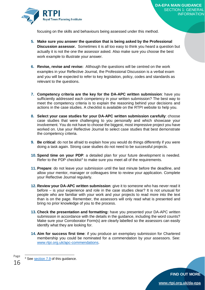

focusing on the skills and behaviours being assessed under this method.

- **5. Make sure you answer the question that is being asked by the Professional Discussion assessor.** Sometimes it is all too easy to think you heard a question but actually it is not the one the assessor asked. Also make sure you choose the best work example to illustrate your answer.
- **6. Revise, revise and revise:** Although the questions will be centred on the work examples in your Reflective Journal, the Professional Discussion is a verbal exam and you will be expected to refer to key legislation, policy, codes and standards as relevant to the questions.
- **7. Competency criteria are the key for the DA-APC written submission**: have you sufficiently addressed each competency in your written submission? The best way to meet the competency criteria is to explain the reasoning behind your decisions and actions in the case studies. A checklist is available on the RTPI website to help you.
- **8. Select your case studies for your DA-APC written submission carefully**: choose case studies that were challenging to you personally and which showcase your involvement. You do not have to choose the biggest, most impressive project you have worked on. Use your Reflective Journal to select case studies that best demonstrate the competency criteria.
- **9. Be critical**: do not be afraid to explain how you would do things differently if you were doing a task again. Strong case studies do not need to be successful projects.
- **10. Spend time on your PDP**: a detailed plan for your future development is needed. Refer to the PDP checklist<sup>[3](#page-15-0)</sup> to make sure you meet all of the requirements.
- **11. Prepare**: do not leave your submission until the last minute before the deadline, and allow your mentor, manager or colleagues time to review your application. Complete your Reflective Journal regularly.
- **12. Review your DA-APC written submission**: give it to someone who has never read it before – is your experience and role in the case studies clear? It is not unusual for people who are familiar with your work and your projects to read more into the text than is on the page. Remember, the assessors will only read what is presented and bring no prior knowledge of you to the process.
- **13. Check the presentation and formatting:** have you presented your DA-APC written submission in accordance with the details in the guidance, including the word counts? Make sure your Corroborator Form(s) are clearly labelled so the assessors can easily identify what they are looking for.
- **14. Aim for success first time**: if you produce an exemplary submission for Chartered membership you could be nominated for a commendation by your assessors. See: [www.rtpi.org.uk/apc-commendations.](http://www.rtpi.org.uk/apc-commendations)

<span id="page-15-0"></span>Page 16 **.** <sup>3</sup> See section 7.9 of this guidance.

**FIND OUT MORE**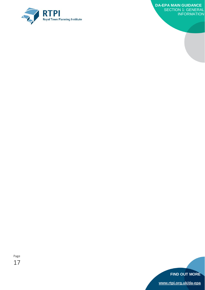

**DA-EPA MAIN GUIDANCE** SECTION 1: GENERAL **INFORMATION** 

Page 17

**FIND OUT MORE**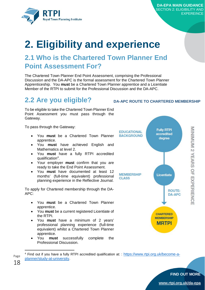

# <span id="page-17-0"></span>**2. Eligibility and experience**

## <span id="page-17-1"></span>**2.1 Who is the Chartered Town Planner End Point Assessment For?**

The Chartered Town Planner End Point Assessment, comprising the Professional Discussion and the DA-APC is the formal assessment for the Chartered Town Planner Apprenticeship. You **must** be a Chartered Town Planner apprentice and a Licentiate Member of the RTPI to submit for the Professional Discussion and the DA-APC.

### <span id="page-17-2"></span>**2.2 Are you eligible?**

To be eligible to take the Chartered Town Planner End Point Assessment you must pass through the Gateway.

To pass through the Gateway:

- You **must** be a Chartered Town Planner apprentice.
- You **must** have achieved English and Mathematics at level 2.
- You **must** have a fully RTPI accredited qualification<sup>[4](#page-17-3)</sup>.
- Your employer **must** confirm that you are ready to take the End Point Assessment.
- You **must** have documented at least 12 months' (full-time equivalent) professional planning experience in the Reflective Journal.

To apply for Chartered membership through the DA-APC:

- You **must** be a Chartered Town Planner apprentice.
- You **must** be a current registered Licentiate of the RTPI.
- You **must** have a minimum of 2 years' professional planning experience (full-time equivalent) whilst a Chartered Town Planner apprentice.
- You **must** successfully complete the Professional Discussion.

![](_page_17_Figure_18.jpeg)

#### <span id="page-17-3"></span>Page <sup>4</sup> Find out if you have a fully RTPI accredited qualification at: : [https://www.rtpi.org.uk/become-a](https://www.rtpi.org.uk/become-a-planner/study-at-university)[planner/study-at-university.](https://www.rtpi.org.uk/become-a-planner/study-at-university)

#### **DA-APC ROUTE TO CHARTERED MEMBERSHIP**

**FIND OUT MORE**

 $\overline{a}$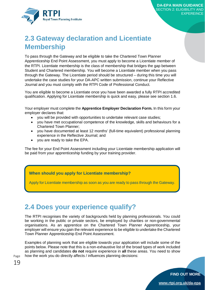![](_page_18_Picture_0.jpeg)

## <span id="page-18-0"></span>**2.3 Gateway declaration and Licentiate Membership**

To pass through the Gateway and be eligible to take the Chartered Town Planner Apprenticeship End Point Assessment, you must apply to become a Licentiate member of the RTPI. Licentiate membership is the class of membership that bridges the gap between Student and Chartered membership. You will become a Licentiate member when you pass through the Gateway. The Licentiate period should be structured – during this time you will undertake the case studies for your DA-APC written submission, continue your Reflective Journal and you must comply with the RTPI Code of Professional Conduct.

You are eligible to become a Licentiate once you have been awarded a fully RTPI accredited qualification. Applying for Licentiate membership is quick and easy, please see section 1.6.

Your employer must complete the **Apprentice Employer Declaration Form.** In this form your employer declares that:

- you will be provided with opportunities to undertake relevant case studies;
- you have met occupational competence of the knowledge, skills and behaviours for a Chartered Town Planner;
- you have documented at least 12 months' (full-time equivalent) professional planning experience in the Reflective Journal; and
- you are ready to take the EPA.

The fee for your End Point Assessment including your Licentiate membership application will be paid from your apprenticeship funding by your training provider.

#### **When should you apply for Licentiate membership?**

Apply for Licentiate membership as soon as you are ready to pass through the Gateway.

### <span id="page-18-1"></span>**2.4 Does your experience qualify?**

The RTPI recognises the variety of backgrounds held by planning professionals. You could be working in the public or private sectors, be employed by charities or non-governmental organisations. As an apprentice on the Chartered Town Planner Apprenticeship, your employer will ensure you gain the relevant experience to be eligible to undertake the Chartered Town Planner Apprenticeship End Point Assessment.

Examples of planning work that are eligible towards your application will include some of the points below. Please note that this is a non-exhaustive list of the broad types of work included as planning and candidates **do not** require experience in **all** these areas. You need to show how the work you do directly affects / influences planning decisions:

Page 19

**FIND OUT MORE**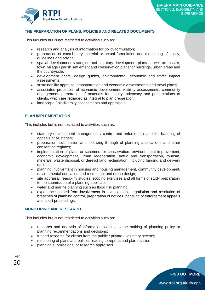![](_page_19_Picture_0.jpeg)

#### **THE PREPARATION OF PLANS, POLICIES AND RELATED DOCUMENTS**

This includes but is not restricted to activities such as:

- research and analysis of information for policy formulation;
- preparation of contributory material or actual formulation and monitoring of policy, guidelines and advice;
- spatial development strategies and statutory development plans as well as master, town, village / parish settlement and conservation plans for buildings, urban areas and the countryside;
- development briefs, design guides, environmental, economic and traffic impact assessments;
- sustainability appraisal, transportation and economic assessments and travel plans;
- associated processes of economic development, viability assessments, community engagement, preparation of materials for inquiry, advocacy and presentations to clients, which are regarded as integral to plan preparation;
- landscape / biodiversity assessments and appraisals.

#### **PLAN IMPLEMENTATION**

This includes but is not restricted to activities such as:

- statutory development management / control and enforcement and the handling of appeals at all stages;
- preparation, submission and following through of planning applications and other consenting regimes;
- implementation of plans or schemes for conservation, environmental improvement, economic development, urban regeneration, traffic and transportation, tourism, minerals, waste disposal, or derelict land reclamation, including funding and delivery options;
- planning involvement in housing and housing management, community development, environmental education and recreation, and urban design;
- site appraisal, feasibility studies, scoping exercises and all forms of study preparatory to the submission of a planning application;
- water and marine planning such as flood risk planning:
- experience gained from involvement in investigation, negotiation and resolution of breaches of planning control, preparation of notices, handling of enforcement appeals and court proceedings.

#### **MONITORING AND RESEARCH**

This includes but is not restricted to activities such as:

- research and analysis of information leading to the making of planning policy or planning recommendations and decisions;
- funded research for clients from the public / private / voluntary sectors;
- monitoring of plans and policies leading to reports and plan revision;
- planning submissions, or research appraisals.

Page  $2<sub>0</sub>$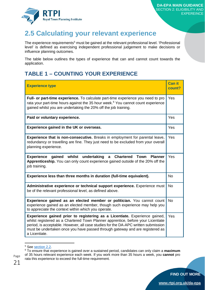## <span id="page-20-0"></span>**2.5 Calculating your relevant experience**

The experience requirements<sup>[5](#page-20-2)</sup> must be gained at the relevant professional level. 'Professional level' is defined as exercising independent professional judgement to make decisions or influence planning outcomes.

The table below outlines the types of experience that can and cannot count towards the application.

### <span id="page-20-1"></span>**TABLE 1 – COUNTING YOUR EXPERIENCE**

| <b>Experience type</b>                                                                                                                                                                                                                                                                                                                                 | <b>Can it</b><br>count? |
|--------------------------------------------------------------------------------------------------------------------------------------------------------------------------------------------------------------------------------------------------------------------------------------------------------------------------------------------------------|-------------------------|
| <b>Full- or part-time experience.</b> To calculate part-time experience you need to pro<br>rata your part-time hours against the 35 hour week. <sup>6</sup> You cannot count experience<br>gained whilst you are undertaking the 20% off the job training.                                                                                             | <b>Yes</b>              |
| Paid or voluntary experience.                                                                                                                                                                                                                                                                                                                          | <b>Yes</b>              |
| Experience gained in the UK or overseas.                                                                                                                                                                                                                                                                                                               | Yes                     |
| <b>Experience that is non-consecutive.</b> Breaks in employment for parental leave,<br>redundancy or travelling are fine. They just need to be excluded from your overall<br>planning experience.                                                                                                                                                      | Yes                     |
| gained whilst undertaking<br><b>Chartered</b><br><b>Planner</b><br><b>Experience</b><br>$\mathbf{a}$<br>Town<br>Apprenticeship. You can only count experience gained outside of the 20% off the<br>job training.                                                                                                                                       | Yes                     |
| Experience less than three months in duration (full-time equivalent).                                                                                                                                                                                                                                                                                  | <b>No</b>               |
| Administrative experience or technical support experience. Experience must<br>be of the relevant professional level, as defined above.                                                                                                                                                                                                                 | <b>No</b>               |
| Experience gained as an elected member or politician. You cannot count<br>experience gained as an elected member, though such experience may help you<br>to appreciate the context within which you operate.                                                                                                                                           | <b>No</b>               |
| Experience gained prior to registering as a Licentiate. Experience gained,<br>whilst registered as a Chartered Town Planner apprentice, before your Licentiate<br>period, is acceptable. However, all case studies for the DA-APC written submission<br>must be undertaken once you have passed through gateway and are registered as<br>a Licentiate. | Yes                     |

**.** 

<sup>5</sup> See [section 2.2.](#page-21-0)

<span id="page-20-3"></span><span id="page-20-2"></span><sup>6</sup> To ensure that experience is gained over a sustained period, candidates can only claim a **maximum** of 35 hours relevant experience each week. If you work more than 35 hours a week, you **cannot** pro rata this experience to exceed the full-time requirement.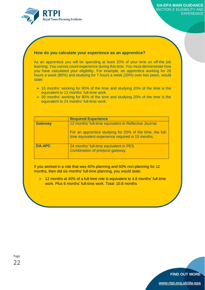![](_page_21_Picture_0.jpeg)

#### **How do you calculate your experience as an apprentice?**

As an apprentice you will be spending at least 20% of your time on off-the job learning. You cannot count experience during this time. You must demonstrate how you have calculated your eligibility. For example, an apprentice working for 28 hours a week (80%) and studying for 7 hours a week (20%) over two years, would state:

- $\geq$  15 months' working for 80% of the time and studying 20% of the time is the equivalent to 12 months' full-time work.
- $\geq$  30 months' working for 80% of the time and studying 20% of the time is the equivalent to 24 months' full-time work.

|                | <b>Required Experience</b>                                                                                     |  |
|----------------|----------------------------------------------------------------------------------------------------------------|--|
| <b>Gateway</b> | 12 months' full-time equivalent in Reflective Journal.                                                         |  |
|                | For an apprentice studying for 20% of the time, the full-<br>time equivalent experience required is 15 months. |  |
| <b>DA-APC</b>  | 24 months' full-time equivalent in PES.<br>Combination of pre/post gateway.                                    |  |

If you worked in a role that was 40% planning and 60% non-planning for 12 months, then did six months' full-time planning, you would state:

<span id="page-21-0"></span> $\geq 12$  months at 40% of a full-time role is equivalent to 4.8 months' full-time work. Plus 6 months' full-time work. Total: 10.8 months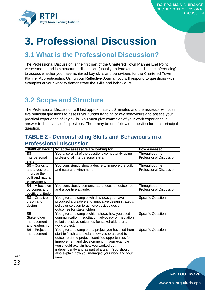![](_page_22_Picture_0.jpeg)

# <span id="page-22-0"></span>**3. Professional Discussion**

### <span id="page-22-1"></span>**3.1 What is the Professional Discussion?**

The Professional Discussion is the first part of the Chartered Town Planner End Point Assessment, and is a structured discussion (usually undertaken using digital conferencing) to assess whether you have achieved key skills and behaviours for the Chartered Town Planner Apprenticeship. Using your Reflective Journal, you will respond to questions with examples of your work to demonstrate the skills and behaviours.

### <span id="page-22-2"></span>**3.2 Scope and Structure**

The Professional Discussion will last approximately 50 minutes and the assessor will pose five principal questions to assess your understanding of key behaviours and assess your practical experience of key skills. You must give examples of your work experience in answer to the assessor's questions. There may be one follow up question for each principal question.

### <span id="page-22-3"></span>**TABLE 2 - Demonstrating Skills and Behaviours in a Professional Discussion**

| <b>Skill/Behaviour</b>                                                               | What the assessors are looking for                                                                                                                                                                                                                                                                                                                                      | <b>How assessed</b>                              |
|--------------------------------------------------------------------------------------|-------------------------------------------------------------------------------------------------------------------------------------------------------------------------------------------------------------------------------------------------------------------------------------------------------------------------------------------------------------------------|--------------------------------------------------|
| $S8 -$<br>Interpersonal<br>skills                                                    | You answer all of the questions competently using<br>professional interpersonal skills.                                                                                                                                                                                                                                                                                 | Throughout the<br><b>Professional Discussion</b> |
| B5 - Curiosity<br>and a desire to<br>improve the<br>built and natural<br>environment | You consistently show a desire to improve the built<br>and natural environment.                                                                                                                                                                                                                                                                                         | Throughout the<br>Professional Discussion        |
| $B4 - A$ focus on<br>outcomes and<br>positive attitude                               | You consistently demonstrate a focus on outcomes<br>and a positive attitude.                                                                                                                                                                                                                                                                                            | Throughout the<br><b>Professional Discussion</b> |
| S <sub>3</sub> - Creative<br>vision and<br>design                                    | You give an example, which shows you have<br>produced a creative and innovative design strategy,<br>policy or solution to achieve positive design<br>outcomes for stakeholders.                                                                                                                                                                                         | <b>Specific Question</b>                         |
| S <sub>5</sub><br>Stakeholder<br>management<br>and leadership                        | You give an example which shows how you used<br>communication, negotiation, advocacy or mediation<br>to build positive outcomes for stakeholders or a<br>work project.                                                                                                                                                                                                  | <b>Specific Question</b>                         |
| S6 - Project<br>management                                                           | You give an example of a project you have led from<br>start to finish and explain how you evaluated to<br>outcome of the project, identified opportunities for<br>improvement and development. In your example<br>you should explain how you worked both<br>independently and as part of a team. You should<br>also explain how you managed your work and your<br>time. | <b>Specific Question</b>                         |

Page 23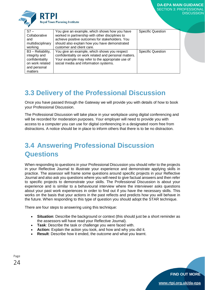![](_page_23_Picture_0.jpeg)

| $S7 -$<br>Collaborative<br>and<br>multidisciplinary<br>working                                                  | You give an example, which shows how you have<br>worked in partnership with other disciplines to<br>achieve positive outcomes for stakeholders. You<br>should also explain how you have demonstrated<br>customer and client care. | <b>Specific Question</b> |
|-----------------------------------------------------------------------------------------------------------------|-----------------------------------------------------------------------------------------------------------------------------------------------------------------------------------------------------------------------------------|--------------------------|
| B <sub>3</sub> - Reliability,<br>integrity and<br>confidentiality<br>on work related<br>and personal<br>matters | You give an example, which shows you respect<br>confidentiality on work related and personal matters.<br>Your example may refer to the appropriate use of<br>social media and information systems.                                | <b>Specific Question</b> |

### <span id="page-23-0"></span>**3.3 Delivery of the Professional Discussion**

Once you have passed through the Gateway we will provide you with details of how to book your Professional Discussion.

The Professional Discussion will take place in your workplace using digital conferencing and will be recorded for moderation purposes. Your employer will need to provide you with access to a computer you can use for digital conferencing in a designated room free from distractions. A notice should be in place to inform others that there is to be no distraction.

### <span id="page-23-1"></span>**3.4 Answering Professional Discussion Questions**

When responding to questions in your Professional Discussion you should refer to the projects in your Reflective Journal to illustrate your experience and demonstrate applying skills in practice. The assessor will frame some questions around specific projects in your Reflective Journal and also ask you questions where you will need to give factual answers and then refer to specific projects to demonstrate your skills. The Professional Discussion is about your experience and is similar to a behavioural interview where the interviewer asks questions about your past work experiences in order to find out if you have the necessary skills. This works on the basis that your actions in the past reflects and predicts how you will behave in the future. When responding to this type of question you should adopt the STAR technique.

There are four steps to answering using this technique:

- **Situation**: Describe the background or context (this should just be a short reminder as the assessors will have read your Reflective Journal).
- **Task**: Describe the task or challenge you were faced with.
- **Action:** Explain the action you took, and how and why you did it.
- **Result:** Describe how it ended, the outcome and what you learnt.

Page  $74$ 

**FIND OUT MORE**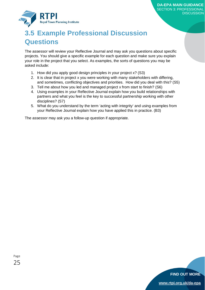![](_page_24_Picture_1.jpeg)

## <span id="page-24-0"></span>**3.5 Example Professional Discussion Questions**

The assessor will review your Reflective Journal and may ask you questions about specific projects. You should give a specific example for each question and make sure you explain your role in the project that you select. As examples, the sorts of questions you may be asked include:

- 1. How did you apply good design principles in your project x? (S3)
- 2. It is clear that in project x you were working with many stakeholders with differing, and sometimes, conflicting objectives and priorities. How did you deal with this? (S5)
- 3. Tell me about how you led and managed project x from start to finish? (S6)
- 4. Using examples in your Reflective Journal explain how you build relationships with partners and what you feel is the key to successful partnership working with other disciplines? (S7)
- 5. What do you understand by the term 'acting with integrity' and using examples from your Reflective Journal explain how you have applied this in practice. (B3)

The assessor may ask you a follow-up question if appropriate.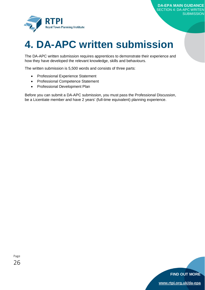![](_page_25_Picture_1.jpeg)

# <span id="page-25-0"></span>**4. DA-APC written submission**

The DA-APC written submission requires apprentices to demonstrate their experience and how they have developed the relevant knowledge, skills and behaviours.

The written submission is 5,500 words and consists of three parts:

- Professional Experience Statement
- Professional Competence Statement
- Professional Development Plan

Before you can submit a DA-APC submission, you must pass the Professional Discussion, be a Licentiate member and have 2 years' (full-time equivalent) planning experience.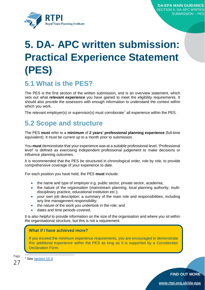![](_page_26_Picture_0.jpeg)

# <span id="page-26-0"></span>**5. DA- APC written submission: Practical Experience Statement (PES)**

### <span id="page-26-1"></span>**5.1 What is the PES?**

The PES is the first section of the written submission, and is an overview statement, which sets out what **relevant experience** you have gained to meet the eligibility requirements. It should also provide the assessors with enough information to understand the context within which you work.

The relevant employer(s) or supervisor(s) must corroborate<sup>7</sup> all experience within the PES.

### <span id="page-26-2"></span>**5.2 Scope and structure**

The PES **must** refer to a **minimum** of **2 years' professional planning experience** (full-time equivalent). It must be current up to a month prior to submission.

You **must** demonstrate that your experience was at a suitable professional level. 'Professional level' is defined as exercising independent professional judgement to make decisions or influence planning outcomes.

It is recommended that the PES be structured in chronological order, role by role, to provide comprehensive coverage of your experience to date.

For each position you have held, the PES **must** include:

- the name and type of employer e.g. public sector, private sector, academia;
- the nature of the organisation (mainstream planning, local planning authority, multidisciplinary practice, educational institution etc.);
- your own job description: a summary of the main role and responsibilities, including any line management responsibility;
- the nature of the work you undertook in the role; and
- dates and time periods covered.

It is also helpful to provide information on the size of the organisation and where you sit within the organisational structure, but this is not a requirement.

#### **What if I have achieved more?**

If you exceed the minimum experience requirements, you are encouraged to demonstrate this additional experience within the PES as long as it is supported by a Corroborator Declaration Form.

<span id="page-26-3"></span>Page 27 <sup>7</sup> See [section 10.3.](#page-69-0)

**.** 

**FIND OUT MORE**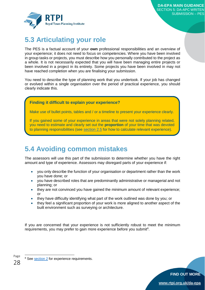![](_page_27_Picture_1.jpeg)

# <span id="page-27-0"></span>**5.3 Articulating your role**

The PES is a factual account of your **own** professional responsibilities and an overview of your experience; it does not need to focus on competencies. Where you have been involved in group tasks or projects, you must describe how you personally contributed to the project as a whole. It is not necessarily expected that you will have been managing entire projects or been involved in a project in its entirety. Some projects you have been involved in may not have reached completion when you are finalising your submission.

You need to describe the type of planning work that you undertook. If your job has changed or evolved within a single organisation over the period of practical experience, you should clearly indicate this.

#### **Finding it difficult to explain your experience?**

Make use of bullet points, tables and / or a timeline to present your experience clearly.

If you gained some of your experience in areas that were not solely planning related, you need to estimate and clearly set out the **proportion** of your time that was devoted to planning responsibilities (see [section 2.5](#page-21-0) for how to calculate relevant experience).

### <span id="page-27-1"></span>**5.4 Avoiding common mistakes**

The assessors will use this part of the submission to determine whether you have the right amount and type of experience. Assessors may disregard parts of your experience if:

- you only describe the function of your organisation or department rather than the work you have done; or
- you have described roles that are predominantly administrative or managerial and not planning; or
- they are not convinced you have gained the minimum amount of relevant experience; or
- they have difficulty identifying what part of the work outlined was done by you; or
- they feel a significant proportion of your work is more aligned to another aspect of the built environment such as surveying or architecture.

If you are concerned that your experience is not sufficiently robust to meet the minimum requirements, you may prefer to gain more experience before you submit<sup>[8](#page-27-2)</sup>.

**.** 

<span id="page-27-2"></span>Page 28 <sup>8</sup> See **section 2** for experience requirements.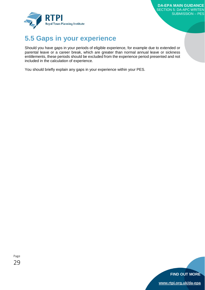**DA-EPA MAIN GUIDANCE** SECTION 5: DA-APC WRITEN SUBMISSION – PES

![](_page_28_Picture_1.jpeg)

## <span id="page-28-0"></span>**5.5 Gaps in your experience**

Should you have gaps in your periods of eligible experience, for example due to extended or parental leave or a career break, which are greater than normal annual leave or sickness entitlements, these periods should be excluded from the experience period presented and not included in the calculation of experience.

You should briefly explain any gaps in your experience within your PES.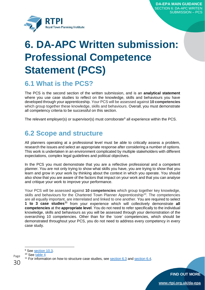![](_page_29_Picture_0.jpeg)

# <span id="page-29-0"></span>**6. DA-APC Written submission: Professional Competence Statement (PCS)**

### <span id="page-29-1"></span>**6.1 What is the PCS?**

The PCS is the second section of the written submission, and is an **analytical statement** where you use case studies to reflect on the knowledge, skills and behaviours you have developed through your apprenticeship. Your PCS will be assessed against **10 competencies** which group together these knowledge, skills and behaviours. Overall, you must demonstrate all competency criteria to be successful on this section.

The relevant employer(s) or supervisor(s) must corroborate<sup>9</sup> all experience within the PCS.

## <span id="page-29-2"></span>**6.2 Scope and structure**

All planners operating at a professional level must be able to critically assess a problem, research the issues and select an appropriate response after considering a number of options. This work is undertaken in an environment complicated by multiple stakeholders with different expectations, complex legal guidelines and political objectives.

In the PCS you must demonstrate that you are a reflective professional and a competent planner. You are not only trying to show what skills you have, you are trying to show that you learn and grow in your work by thinking about the context in which you operate. You should also show that you are aware of the factors that impact on your work and that you can analyse and critique your work to improve your performance.

Your PCS will be assessed against **10 competencies** which group together key knowledge, skills and behaviours for the Chartered Town Planner Apprenticeship<sup>10</sup>. The competencies are all equally important, are interrelated and linked to one another. You are required to select **1 to 3 case studies[11](#page-29-5)** from your experience which will collectively demonstrate **all competencies** at the **appropriate level**. You do not need to refer specifically to the individual knowledge, skills and behaviours as you will be assessed through your demonstration of the overarching 10 competencies. Other than for the 'core' competencies, which should be demonstrated throughout your PCS, you do not need to address every competency in every case study.

<span id="page-29-4"></span><span id="page-29-3"></span>Page  $10$  See [table 4](#page-33-0)

 $\overline{a}$ 

<span id="page-29-5"></span>30

**FIND OUT MORE**

<sup>&</sup>lt;sup>9</sup> See [section 10.3.](#page-69-0)

<sup>&</sup>lt;sup>11</sup> For information on how to structure case studies, see [section](#page-48-0) 6.3 and [section 6.4.](#page-49-0)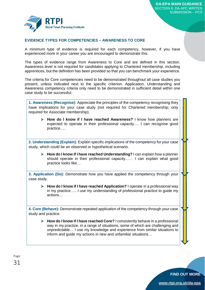![](_page_30_Picture_1.jpeg)

#### **EVIDENCE TYPES FOR COMPETENCIES – AWARENESS TO CORE**

A minimum type of evidence is required for each competency, however, if you have experienced more in your career you are encouraged to demonstrate this.

The types of evidence range from Awareness to Core and are defined in this section. Awareness level is not required for candidates applying to Chartered membership, including apprentices, but the definition has been provided so that you can benchmark your experience.

The criteria for Core competencies need to be demonstrated throughout all case studies you present, unless indicated next to the specific criterion. Application, Understanding and Awareness competency criteria only need to be demonstrated in sufficient detail within one case study to be successful.

| 1. Awareness (Recognise): Appreciate the principles of the competency recognising they<br>have implications for your case study (not required for Chartered membership; only<br>required for Associate membership).                                                                                                 |  |  |  |  |
|---------------------------------------------------------------------------------------------------------------------------------------------------------------------------------------------------------------------------------------------------------------------------------------------------------------------|--|--|--|--|
| How do I know if I have reached Awareness? I know how planners are<br>➤<br>expected to operate in their professional capacity I can recognise good<br>practice                                                                                                                                                      |  |  |  |  |
| 2. Understanding (Explain): Explain specific implications of the competency for your case<br>study, which could be an observed or hypothetical scenario.                                                                                                                                                            |  |  |  |  |
| $\triangleright$ How do I know if I have reached Understanding? I can explain how a planner<br>should operate in their professional capacity I can explain what good<br>practice looks like                                                                                                                         |  |  |  |  |
| 3. Application (Do): Demonstrate how you have applied the competency through your<br>case study.                                                                                                                                                                                                                    |  |  |  |  |
| $\triangleright$ How do I know if I have reached Application? I operate in a professional way<br>in my practice I use my understanding of professional practice to guide my<br>actions                                                                                                                              |  |  |  |  |
| 4. Core (Behave): Demonstrate repeated application of the competency through your case<br>study and practice.                                                                                                                                                                                                       |  |  |  |  |
| How do I know if I have reached Core? I consistently behave in a professional<br>➤<br>way in my practice, in a range of situations, some of which are challenging and<br>unpredictable I use my knowledge and experience from similar situations to<br>inform and guide my actions in new and unfamiliar situations |  |  |  |  |

Page 31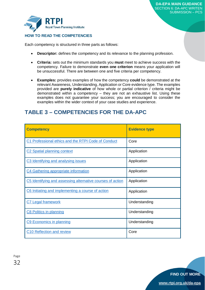![](_page_31_Picture_1.jpeg)

#### **HOW TO READ THE COMPETENCIES**

Each competency is structured in three parts as follows:

- **Descriptor:** defines the competency and its relevance to the planning profession.
- **Criteria:** sets out the minimum standards you **must** meet to achieve success with the competency. Failure to demonstrate **even one criterion** means your application will be unsuccessful. There are between one and five criteria per competency.
- **Examples:** provides examples of how the competency **could** be demonstrated at the relevant Awareness, Understanding, Application or Core evidence type. The examples provided are **purely indicative** of how whole or partial criterion / criteria might be demonstrated within a competency – they are not an exhaustive list. Using these examples does not guarantee your success; you are encouraged to consider the examples within the wider context of your case studies and experience.

### <span id="page-31-0"></span>**TABLE 3 – COMPETENCIES FOR THE DA-APC**

| <b>Competency</b>                                          | <b>Evidence type</b> |
|------------------------------------------------------------|----------------------|
| C1 Professional ethics and the RTPI Code of Conduct        | Core                 |
| C <sub>2</sub> Spatial planning context                    | Application          |
| C3 Identifying and analysing issues                        | Application          |
| C4 Gathering appropriate information                       | Application          |
| C5 Identifying and assessing alternative courses of action | Application          |
| C6 Initiating and implementing a course of action          | Application          |
| <b>C7 Legal framework</b>                                  | Understanding        |
| <b>C8 Politics in planning</b>                             | Understanding        |
| C9 Economics in planning                                   | Understanding        |
| C10 Reflection and review                                  | Core                 |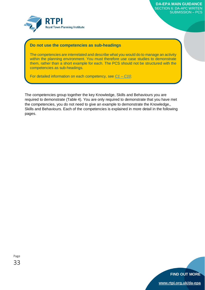![](_page_32_Picture_0.jpeg)

#### **Do not use the competencies as sub-headings**

The competencies are interrelated and describe what you would do to manage an activity within the planning environment. You must therefore use case studies to demonstrate them, rather than a short example for each. The PCS should not be structured with the competencies as sub-headings.

For detailed information on each competency, see *[C1 –](#page-34-0) C10*.

The competencies group together the key Knowledge, Skills and Behaviours you are required to demonstrate (Table 4). You are only required to demonstrate that you have met the competencies, you do not need to give an example to demonstrate the Knowledge,, Skills and Behaviours. Each of the competencies is explained in more detail in the following pages.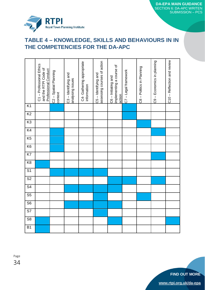![](_page_33_Picture_1.jpeg)

### <span id="page-33-0"></span>**TABLE 4 – KNOWLEDGE, SKILLS AND BEHAVIOURS IN IN THE COMPETENCIES FOR THE DA-APC**

|                          | C1 - Professional Ethics<br>and the RTPI Code of<br><b>Professional Conduct</b> | C2 - Spatial Planning<br>context | C3 - Identifying and<br>analysing issues | C4- Gathering appropriate<br>information | assessing courses of action<br>C5 - Identifying and | implementing a course of<br>C6 - Initiating and<br>action | C7-Legal framework | C8 - Politics in Planning | C9 - Economics in planning | C10 - Reflection and review |
|--------------------------|---------------------------------------------------------------------------------|----------------------------------|------------------------------------------|------------------------------------------|-----------------------------------------------------|-----------------------------------------------------------|--------------------|---------------------------|----------------------------|-----------------------------|
| $\overline{K1}$          |                                                                                 |                                  |                                          |                                          |                                                     |                                                           |                    |                           |                            |                             |
| $\overline{K2}$          |                                                                                 |                                  |                                          |                                          |                                                     |                                                           |                    |                           |                            |                             |
| K3                       |                                                                                 |                                  |                                          |                                          |                                                     |                                                           |                    |                           |                            |                             |
| $\overline{K4}$          |                                                                                 |                                  |                                          |                                          |                                                     |                                                           |                    |                           |                            |                             |
| K <sub>5</sub>           |                                                                                 |                                  |                                          |                                          |                                                     |                                                           |                    |                           |                            |                             |
| K6                       |                                                                                 |                                  |                                          |                                          |                                                     |                                                           |                    |                           |                            |                             |
| K7                       |                                                                                 |                                  |                                          |                                          |                                                     |                                                           |                    |                           |                            |                             |
| K8                       |                                                                                 |                                  |                                          |                                          |                                                     |                                                           |                    |                           |                            |                             |
| $\overline{S1}$          |                                                                                 |                                  |                                          |                                          |                                                     |                                                           |                    |                           |                            |                             |
| $\overline{\mathsf{S2}}$ |                                                                                 |                                  |                                          |                                          |                                                     |                                                           |                    |                           |                            |                             |
| $\overline{\mathsf{S}4}$ |                                                                                 |                                  |                                          |                                          |                                                     |                                                           |                    |                           |                            |                             |
| $\overline{\text{S5}}$   |                                                                                 |                                  |                                          |                                          |                                                     |                                                           |                    |                           |                            |                             |
| S <sub>6</sub>           |                                                                                 |                                  |                                          |                                          |                                                     |                                                           |                    |                           |                            |                             |
| S7                       |                                                                                 |                                  |                                          |                                          |                                                     |                                                           |                    |                           |                            |                             |
| S <sub>8</sub>           |                                                                                 |                                  |                                          |                                          |                                                     |                                                           |                    |                           |                            |                             |
| B <sub>1</sub>           |                                                                                 |                                  |                                          |                                          |                                                     |                                                           |                    |                           |                            |                             |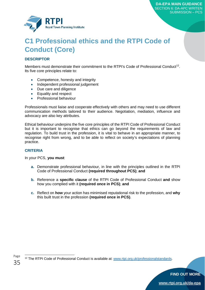![](_page_34_Picture_1.jpeg)

# <span id="page-34-0"></span>**C1 Professional ethics and the RTPI Code of Conduct (Core)**

#### **DESCRIPTOR**

Members must demonstrate their commitment to the RTPI's Code of Professional Conduct<sup>12</sup>. Its five core principles relate to:

- Competence, honesty and integrity
- Independent professional judgement
- Due care and diligence
- Equality and respect
- Professional behaviour

Professionals must liaise and cooperate effectively with others and may need to use different communication methods tailored to their audience. Negotiation, mediation, influence and advocacy are also key attributes.

Ethical behaviour underpins the five core principles of the RTPI Code of Professional Conduct but it is important to recognise that ethics can go beyond the requirements of law and regulation. To build trust in the profession, it is vital to behave in an appropriate manner, to recognise right from wrong, and to be able to reflect on society's expectations of planning practice.

#### **CRITERIA**

**.** 

In your PCS, **you must**:

- **a.** Demonstrate professional behaviour, in line with the principles outlined in the RTPI Code of Professional Conduct **(required throughout PCS)**; **and**
- **b.** Reference a **specific clause** of the RTPI Code of Professional Conduct **and** show how you complied with it **(required once in PCS)**; **and**
- **c.** Reflect on **how** your action has minimised reputational risk to the profession, and **why** this built trust in the profession **(required once in PCS)**.

<span id="page-34-1"></span>Page 35 <sup>12</sup> The RTPI Code of Professional Conduct is available at: [www.rtpi.org.uk/professionalstandards.](http://www.rtpi.org.uk/professionalstandards)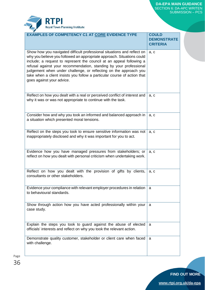![](_page_35_Picture_1.jpeg)

| <b>EXAMPLES OF COMPETENCY C1 AT CORE EVIDENCE TYPE</b>                                                                                                                                                                                                                                                                                                                                                                                                                        | <b>COULD</b><br><b>DEMONSTRATE</b><br><b>CRITERIA</b> |
|-------------------------------------------------------------------------------------------------------------------------------------------------------------------------------------------------------------------------------------------------------------------------------------------------------------------------------------------------------------------------------------------------------------------------------------------------------------------------------|-------------------------------------------------------|
| Show how you navigated difficult professional situations and reflect on<br>why you believe you followed an appropriate approach. Situations could<br>include; a request to represent the council at an appeal following a<br>refusal against your recommendation, standing by your professional<br>judgement when under challenge, or reflecting on the approach you<br>take when a client insists you follow a particular course of action that<br>goes against your advice. | a, c                                                  |
| Reflect on how you dealt with a real or perceived conflict of interest and<br>why it was or was not appropriate to continue with the task.                                                                                                                                                                                                                                                                                                                                    | a, c                                                  |
| Consider how and why you took an informed and balanced approach in<br>a situation which presented moral tensions.                                                                                                                                                                                                                                                                                                                                                             | a, c                                                  |
| Reflect on the steps you took to ensure sensitive information was not<br>inappropriately disclosed and why it was important for you to act.                                                                                                                                                                                                                                                                                                                                   | a, c                                                  |
| Evidence how you have managed pressures from stakeholders; or<br>reflect on how you dealt with personal criticism when undertaking work.                                                                                                                                                                                                                                                                                                                                      | a, c                                                  |
| Reflect on how you dealt with the provision of gifts by clients,<br>consultants or other stakeholders.                                                                                                                                                                                                                                                                                                                                                                        | a, c                                                  |
| Evidence your compliance with relevant employer procedures in relation<br>to behavioural standards.                                                                                                                                                                                                                                                                                                                                                                           | a                                                     |
| Show through action how you have acted professionally within your<br>case study.                                                                                                                                                                                                                                                                                                                                                                                              | a                                                     |
| Explain the steps you took to guard against the abuse of elected<br>officials' interests and reflect on why you took the relevant action.                                                                                                                                                                                                                                                                                                                                     | a                                                     |
| Demonstrate quality customer, stakeholder or client care when faced<br>with challenge.                                                                                                                                                                                                                                                                                                                                                                                        | a                                                     |

Page 36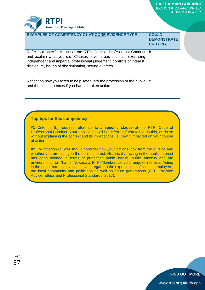

| <b>EXAMPLES OF COMPETENCY C1 AT CORE EVIDENCE TYPE</b>                                                                                                                                                                                                                          | <b>COULD</b><br><b>DEMONSTRATE</b><br><b>CRITERIA</b> |
|---------------------------------------------------------------------------------------------------------------------------------------------------------------------------------------------------------------------------------------------------------------------------------|-------------------------------------------------------|
| Refer to a specific clause of the RTPI Code of Professional Conduct<br>and explain what you did. Clauses cover areas such as; exercising<br>independent and impartial professional judgement, conflicts of interest,<br>disclosure, issues of discrimination, setting out fees. | b                                                     |
| Reflect on how you acted to help safeguard the profession or the public<br>and the consequences if you had not taken action.                                                                                                                                                    | C                                                     |

### **Top tips for this competency**

Ξ

**#1** Criterion (b) requires reference to a **specific clause** of the RTPI Code of Professional Conduct. Your application will be deferred if you fail to do this, or do so without explaining the context and its implications i.e. how it impacted on your course of action.

**#2** For criterion (c) you should consider how your actions look from the outside and whether you are acting in the public interest. Historically, acting in the public interest has been defined in terms of protecting public health, public amenity and the environment from 'harm'. Nowadays RTPI Members serve a range of interests. Acting in the public interest involves having regard to the expectations of clients, employers, the local community and politicians as well as future generations (RTPI Practice Advice: Ethics and Professional Standards, 2017).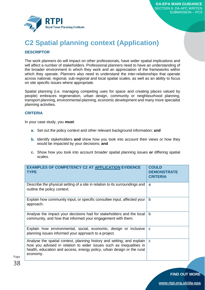

# **C2 Spatial planning context (Application)**

### **DESCRIPTOR**

The work planners do will impact on other professionals, have wider spatial implications and will affect a number of stakeholders. Professional planners need to have an understanding of the broader environment in which they work and an appreciation of the frameworks within which they operate. Planners also need to understand the inter-relationships that operate across national, regional, sub-regional and local spatial scales; as well as an ability to focus on site specific issues where appropriate.

Spatial planning (i.e. managing competing uses for space and creating places valued by people) embraces regeneration, urban design, community or neighbourhood planning, transport planning, environmental planning, economic development and many more specialist planning activities.

#### **CRITERIA**

In your case study, you **must**:

- **a.** Set out the policy context and other relevant background information; **and**
- **b.** Identify stakeholders **and** show how you took into account their views or how they would be impacted by your decisions; **and**
- **c.** Show how you took into account broader spatial planning issues **or** differing spatial scales.

| <b>EXAMPLES OF COMPETENCY C2 AT APPLICATION EVIDENCE</b><br><b>TYPE</b>                                                                                                                                                             | <b>COULD</b><br><b>DEMONSTRATE</b><br><b>CRITERIA</b> |
|-------------------------------------------------------------------------------------------------------------------------------------------------------------------------------------------------------------------------------------|-------------------------------------------------------|
| Describe the physical setting of a site in relation to its surroundings and<br>outline the policy context.                                                                                                                          | a                                                     |
| Explain how community input, or specific consultee input, affected your<br>approach.                                                                                                                                                | b                                                     |
| Analyse the impact your decisions had for stakeholders and the local<br>community, and how that informed your engagement with them.                                                                                                 | <sub>b</sub>                                          |
| Explain how environmental, social, economic, design or inclusive<br>planning issues informed your approach to a project.                                                                                                            | $\mathbf C$                                           |
| Analyse the spatial context, planning history and setting; and explain<br>how you advised in relation to wider issues such as inequalities in<br>health, education and access, energy policy, urban design or the rural<br>economy. | $\mathbf{C}$                                          |

Page 38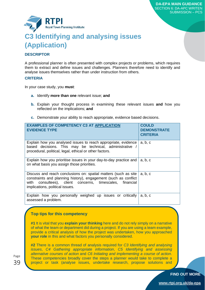

# **C3 Identifying and analysing issues (Application)**

### **DESCRIPTOR**

A professional planner is often presented with complex projects or problems, which requires them to extract and define issues and challenges. Planners therefore need to identify and analyse issues themselves rather than under instruction from others.

#### **CRITERIA**

In your case study, you **must**:

- **a.** Identify **more than one** relevant issue; **and**
- **b.** Explain your thought process in examining these relevant issues **and** how you reflected on the implications; **and**
- **c.** Demonstrate your ability to reach appropriate, evidence based decisions.

| <b>EXAMPLES OF COMPETENCY C3 AT APPLICATION</b><br><b>EVIDENCE TYPE</b>                                                                                                                                                              | <b>COULD</b><br><b>DEMONSTRATE</b><br><b>CRITERIA</b> |
|--------------------------------------------------------------------------------------------------------------------------------------------------------------------------------------------------------------------------------------|-------------------------------------------------------|
| Explain how you analysed issues to reach appropriate, evidence<br>based decisions. This may be technical, administrative /<br>procedural, political, legal, ethical or other factors.                                                | a, b, c                                               |
| Explain how you prioritise issues in your day-to-day practice and<br>on what basis you assign those priorities.                                                                                                                      | a, b, c                                               |
| Discuss and reach conclusions on: spatial matters (such as site<br>constraints and planning history), engagement (such as conflict<br>consultees), client concerns, timescales, financial<br>with<br>implications, political issues. | a, b, c                                               |
| Explain how you personally weighed up issues or critically<br>assessed a problem.                                                                                                                                                    | a, b, c                                               |

### **Top tips for this competency**

**#1** It is vital that you **explain your thinking** here and do not rely simply on a narrative of what the team or department did during a project. If you are using a team example, provide a critical analysis of how the project was undertaken, how you approached **your role** in this and what factors you personally considered.

**#2** There is a common thread of analysis required for *C3 Identifying and analysing issues*, *C4 Gathering appropriate information*, *C5 Identifying and assessing alternative courses of action* and *C6 Initiating and implementing a course of action*. These competencies broadly cover the steps a planner would take to complete a project or task (analyse issues, undertake research, propose solutions and

Page 39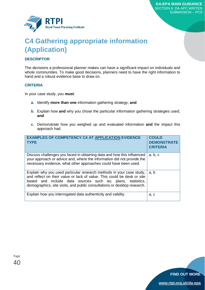

# **C4 Gathering appropriate information (Application)**

### **DESCRIPTOR**

The decisions a professional planner makes can have a significant impact on individuals and whole communities. To make good decisions, planners need to have the right information to hand and a robust evidence base to draw on.

#### **CRITERIA**

In your case study, you **must**:

- **a.** Identify **more than one** information gathering strategy; **and**
- **b.** Explain how **and** why you chose the particular information gathering strategies used; **and**
- **c.** Demonstrate how you weighed up and evaluated information **and** the impact this approach had.

| <b>EXAMPLES OF COMPETENCY C4 AT APPLICATION EVIDENCE</b><br><b>TYPE</b>                                                                                                                                                                                                                   | <b>COULD</b><br><b>DEMONSTRATE</b><br><b>CRITERIA</b> |
|-------------------------------------------------------------------------------------------------------------------------------------------------------------------------------------------------------------------------------------------------------------------------------------------|-------------------------------------------------------|
| Discuss challenges you faced in obtaining data and how this influenced<br>your approach or advice and, where the information did not provide the<br>necessary evidence, what other approaches could have been used.                                                                       | a, b, c                                               |
| Explain why you used particular research methods in your case study,<br>and reflect on their value or lack of value. This could be desk or site<br>based and include data sources such as; plans, statistics,<br>demographics, site visits, and public consultations or desktop research. | a.b                                                   |
| Explain how you interrogated data authenticity and validity.                                                                                                                                                                                                                              | a, c                                                  |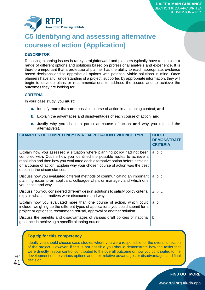

# **C5 Identifying and assessing alternative courses of action (Application)**

### **DESCRIPTOR**

Resolving planning issues is rarely straightforward and planners typically have to consider a range of different options and solutions based on professional analysis and experience. It is therefore important that a professional planner has the ability to reach appropriate, evidence based decisions and to appraise all options with potential viable solutions in mind. Once planners have a full understanding of a project, supported by appropriate information, they will begin to develop plans or recommendations to address the issues and to achieve the outcomes they are looking for.

#### **CRITERIA**

In your case study, you **must**:

- **a.** Identify **more than one** possible course of action in a planning context; **and**
- **b.** Explain the advantages and disadvantages of each course of action; **and**
- **c.** Justify why you chose a particular course of action **and** why you rejected the alternative(s).

| <b>EXAMPLES OF COMPETENCY C5 AT APPLICATION EVIDENCE TYPE</b>                                                                                                                                                                                                                                                                                          | <b>COULD</b><br><b>DEMONSTRATE</b><br><b>CRITERIA</b> |
|--------------------------------------------------------------------------------------------------------------------------------------------------------------------------------------------------------------------------------------------------------------------------------------------------------------------------------------------------------|-------------------------------------------------------|
| Explain how you assessed a situation where planning policy had not been<br>complied with. Outline how you identified the possible routes to achieve a<br>resolution and then how you evaluated each alternative option before deciding<br>on a course of action. Explain why your chosen course of action was the best<br>option in the circumstances. | a, b, c                                               |
| Discuss how you evaluated different methods of communicating an important<br>planning issue to an applicant, colleague client or manager, and which one<br>you chose and why.                                                                                                                                                                          | a, b, c                                               |
| Discuss how you considered different design solutions to satisfy policy criteria,<br>explain what alternatives were discounted and why.                                                                                                                                                                                                                | a, b, c                                               |
| Explain how you evaluated more than one course of action, which could<br>include; weighing up the different types of applications you could submit for a<br>project or options to recommend refusal, approval or another solution.                                                                                                                     | a, b                                                  |
| Discuss the benefits and disadvantages of various draft policies or national<br>guidance in achieving a specific planning outcome.                                                                                                                                                                                                                     | b                                                     |

### **Top tip for this competency**

Ideally you should choose case studies where you were responsible for the overall direction of the project. However, if this is not possible you should demonstrate how the tasks that were directly in your control contributed to the overall outcome or how you contributed to the development of the various options and their relative advantages or disadvantages and final decision.

Page 41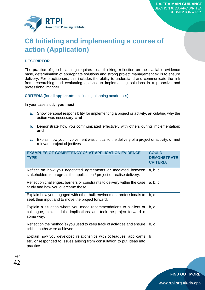

# **C6 Initiating and implementing a course of action (Application)**

#### **DESCRIPTOR**

The practice of good planning requires clear thinking, reflection on the available evidence base, determination of appropriate solutions and strong project management skills to ensure delivery. For practitioners, this includes the ability to understand and communicate the link from researching and evaluating options, to implementing solutions in a proactive and professional manner.

#### **CRITERIA** (for **all applicants**, excluding planning academics)

In your case study, **you must**:

- **a.** Show personal responsibility for implementing a project or activity, articulating why the action was necessary; **and**
- **b.** Demonstrate how you communicated effectively with others during implementation; **and**
- **c.** Explain how your involvement was critical to the delivery of a project or activity, **or** met relevant project objectives

| <b>EXAMPLES OF COMPETENCY C6 AT APPLICATION EVIDENCE</b><br><b>TYPE</b>                                                                                     | <b>COULD</b><br><b>DEMONSTRATE</b><br><b>CRITERIA</b> |
|-------------------------------------------------------------------------------------------------------------------------------------------------------------|-------------------------------------------------------|
| Reflect on how you negotiated agreements or mediated between<br>stakeholders to progress the application / project or realise delivery.                     | a, b, c                                               |
| Reflect on challenges, barriers or constraints to delivery within the case<br>study and how you overcame these.                                             | a, b, c                                               |
| Explain how you engaged with other built environment professionals to<br>seek their input and to move the project forward.                                  | b, c                                                  |
| Explain a situation where you made recommendations to a client or<br>colleague, explained the implications, and took the project forward in<br>some way.    | b, c                                                  |
| Reflect on the method(s) you used to keep track of activities and ensure<br>critical paths were achieved.                                                   | b, c                                                  |
| Explain how you developed relationships with colleagues, applicants<br>etc. or responded to issues arising from consultation to put ideas into<br>practice. | $\mathsf{b}$                                          |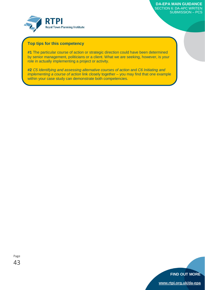



### **Top tips for this competency**

**#1** The particular course of action or strategic direction could have been determined by senior management, politicians or a client. What we are seeking, however, is your role in actually implementing a project or activity.

**#2** *C5 Identifying and assessing alternative courses of action* and *C6 Initiating and implementing a course of action* link closely together – you may find that one example within your case study can demonstrate both competencies.

**FIND OUT MORE**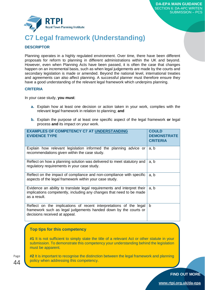

## **C7 Legal framework (Understanding)**

### **DESCRIPTOR**

Planning operates in a highly regulated environment. Over time, there have been different proposals for reform to planning in different administrations within the UK and beyond. However, even when Planning Acts have been passed, it is often the case that changes happen on an incremental basis, such as when legal judgements are made by the courts and secondary legislation is made or amended. Beyond the national level, international treaties and agreements can also affect planning. A successful planner must therefore ensure they have a good understanding of the relevant legal framework which underpins planning.

#### **CRITERIA**

In your case study, **you must**:

- **a.** Explain how at least one decision or action taken in your work, complies with the relevant legal framework in relation to planning; **and**
- **b.** Explain the purpose of at least one specific aspect of the legal framework **or** legal process **and** its impact on your work.

| <b>EXAMPLES OF COMPETENCY C7 AT UNDERSTANDING</b><br><b>EVIDENCE TYPE</b>                                                                                              | <b>COULD</b><br><b>DEMONSTRATE</b><br><b>CRITERIA</b> |
|------------------------------------------------------------------------------------------------------------------------------------------------------------------------|-------------------------------------------------------|
| Explain how relevant legislation informed the planning advice or<br>recommendations given within the case study.                                                       | a, b                                                  |
| Reflect on how a planning solution was delivered to meet statutory and<br>regulatory requirements in your case study.                                                  | a, b                                                  |
| Reflect on the impact of compliance and non-compliance with specific<br>aspects of the legal framework within your case study.                                         | a, b                                                  |
| Evidence an ability to translate legal requirements and interpret their<br>implications competently, including any changes that need to be made<br>as a result.        | a, b                                                  |
| Reflect on the implications of recent interpretations of the legal<br>framework such as legal judgements handed down by the courts or<br>decisions received at appeal. | b                                                     |

### **Top tips for this competency**

**#1** It is not sufficient to simply state the title of a relevant Act or other statute in your submission. To demonstrate this competency your understanding behind the legislation must be apparent.

**#2** It is important to recognise the distinction between the legal framework and planning policy when addressing this competency.

Page 44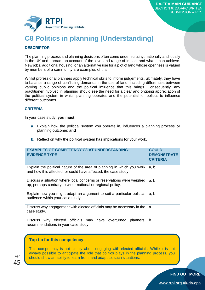

# **C8 Politics in planning (Understanding)**

### **DESCRIPTOR**

The planning process and planning decisions often come under scrutiny, nationally and locally in the UK and abroad, on account of the level and range of impact and what it can achieve. New jobs, additional housing, or an alternative use for a plot of land whose openness is valued by members of a community are examples of this.

Whilst professional planners apply technical skills to inform judgements, ultimately, they have to balance a range of conflicting demands in the use of land, including differences between varying public opinions and the political influence that this brings. Consequently, any practitioner involved in planning should see the need for a clear and ongoing appreciation of the political system in which planning operates and the potential for politics to influence different outcomes.

#### **CRITERIA**

In your case study, **you must**:

- **a.** Explain how the political system you operate in, influences a planning process **or** planning outcome; **and**
- **b.** Reflect on why the political system has implications for your work.

| <b>EXAMPLES OF COMPETENCY C8 AT UNDERSTANDING</b><br><b>EVIDENCE TYPE</b>                                                                | <b>COULD</b><br><b>DEMONSTRATE</b><br><b>CRITERIA</b> |
|------------------------------------------------------------------------------------------------------------------------------------------|-------------------------------------------------------|
| Explain the political nature of the area of planning in which you work<br>and how this affected, or could have affected, the case study. | a, b                                                  |
| Discuss a situation where local concerns or reservations were weighed<br>up, perhaps contrary to wider national or regional policy.      | a, b                                                  |
| Explain how you might adapt an argument to suit a particular political<br>audience within your case study.                               | a, b                                                  |
| Discuss why engagement with elected officials may be necessary in the<br>case study.                                                     | a                                                     |
| Discuss why elected officials may<br>have overturned<br>planners'<br>recommendations in your case study.                                 | b                                                     |

### **Top tip for this competency**

This competency is not simply about engaging with elected officials. While it is not always possible to anticipate the role that politics plays in the planning process, you should show an ability to learn from, and adapt to, such situations.

Page 45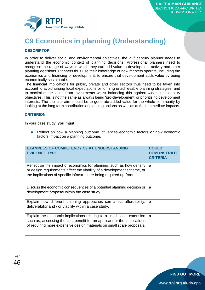

# **C9 Economics in planning (Understanding)**

### **DESCRIPTOR**

In order to deliver social and environmental objectives, the 21<sup>st</sup> century planner needs to understand the economic context of planning decisions. Professional planners need to recognise the range of ways in which they can add value to development activity and other planning decisions. Planners thus use their knowledge of how markets operate, including the economics and financing of development, to ensure that development adds value by being economically sustainable.

The financial implications for public, private and other sectors thus need to be taken into account to avoid raising local expectations or forming unachievable planning strategies; and to maximise the value from investments whilst balancing this against wider sustainability objectives. This is not the same as always being 'pro-development' or prioritising development interests. The ultimate aim should be to generate added value for the whole community by looking at the long term contribution of planning options as well as at their immediate impacts.

#### **CRITERION**

In your case study, **you must**:

**a.** Reflect on how a planning outcome influences economic factors **or** how economic factors impact on a planning outcome.

| <b>EXAMPLES OF COMPETENCY C9 AT UNDERSTANDING</b><br><b>EVIDENCE TYPE</b>                                                                                                                                                   | <b>COULD</b><br><b>DEMONSTRATE</b><br><b>CRITERIA</b> |
|-----------------------------------------------------------------------------------------------------------------------------------------------------------------------------------------------------------------------------|-------------------------------------------------------|
| Reflect on the impact of economics for planning, such as how density<br>or design requirements affect the viability of a development scheme, or<br>the implications of specific infrastructure being required up-front.     | a                                                     |
| Discuss the economic consequences of a potential planning decision or<br>development proposal within the case study.                                                                                                        | a                                                     |
| Explain how different planning approaches can affect affordability,<br>deliverability and / or viability within a case study.                                                                                               | a                                                     |
| Explain the economic implications relating to a small scale extension<br>such as; assessing the cost benefit for an applicant or the implications<br>of requiring more expensive design materials on small scale proposals. | a                                                     |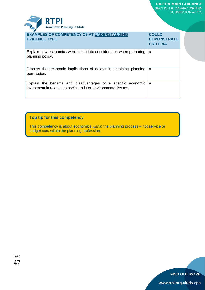

| <b>EXAMPLES OF COMPETENCY C9 AT UNDERSTANDING</b><br><b>EVIDENCE TYPE</b>                                                        | <b>COULD</b><br><b>DEMONSTRATE</b><br><b>CRITERIA</b> |
|----------------------------------------------------------------------------------------------------------------------------------|-------------------------------------------------------|
| Explain how economics were taken into consideration when preparing<br>planning policy.                                           | a                                                     |
| Discuss the economic implications of delays in obtaining planning<br>permission.                                                 | a                                                     |
| Explain the benefits and disadvantages of a specific economic<br>investment in relation to social and / or environmental issues. | a                                                     |

### **Top tip for this competency**

This competency is about economics *within* the planning process – not service or budget cuts within the planning profession.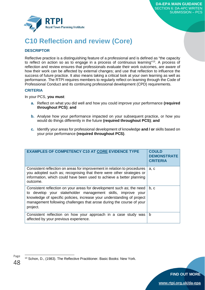

# **C10 Reflection and review (Core)**

### **DESCRIPTOR**

Reflective practice is a distinguishing feature of a professional and is defined as "the capacity to reflect on action so as to engage in a process of continuous learning"[13.](#page-47-0) A process of reflection and review ensures that professionals evaluate their work outcomes, are aware of how their work can be affected by external changes; and use that reflection to influence the success of future practice. It also means taking a critical look at your own learning as well as performance. The RTPI requires members to regularly reflect on learning through the Code of Professional Conduct and its continuing professional development (CPD) requirements.

#### **CRITERIA**

In your PCS, **you must**:

- **a.** Reflect on what you did well and how you could improve your performance **(required throughout PCS)**; **and**
- **b.** Analyse how your performance impacted on your subsequent practice, or how you would do things differently in the future **(required throughout PCS)**; **and**
- **c.** Identify your areas for professional development of knowledge **and / or** skills based on your prior performance **(required throughout PCS)**.

| <b>EXAMPLES OF COMPETENCY C10 AT CORE EVIDENCE TYPE</b>                                                                                                                                                                                                                                            | <b>COULD</b><br><b>DEMONSTRATE</b><br><b>CRITERIA</b> |
|----------------------------------------------------------------------------------------------------------------------------------------------------------------------------------------------------------------------------------------------------------------------------------------------------|-------------------------------------------------------|
| Consistent reflection on areas for improvement in relation to procedures<br>you adopted such as; recognising that there were other strategies or<br>information, which could have been used to achieve a better planning<br>outcome.                                                               | a, c                                                  |
| Consistent reflection on your areas for development such as; the need<br>to develop your stakeholder management skills, improve your<br>knowledge of specific policies, increase your understanding of project<br>management following challenges that arose during the course of your<br>project. | b, c                                                  |
| Consistent reflection on how your approach in a case study was<br>affected by your previous experience.                                                                                                                                                                                            | b                                                     |

<span id="page-47-0"></span>Page 48 **.** <sup>13</sup> Schon, D., (1983). The Reflective Practitioner. Basic Books: New York.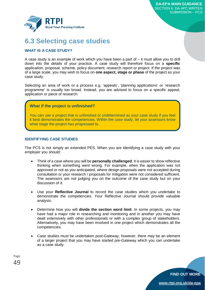**DA-EPA MAIN GUIDANCE** SECTION 6: DA-APC WRITEN SUBMISSION – PCS



### **6.3 Selecting case studies**

### **WHAT IS A CASE STUDY?**

A case study is an example of work which you have been a part of – it must allow you to drill down into the details of your practice. A case study will therefore focus on a **specific** application, proposal, scheme, policy document, research report or project. If the project was of a large scale, you may wish to focus on **one aspect, stage or phase** of the project as your case study.

Selecting an area of work or a process e.g. 'appeals', 'planning applications' or 'research programme' is usually too broad. Instead, you are advised to focus on a specific appeal, application or piece of research.

### **What if the project is unfinished?**

You can use a project that is unfinished or undetermined as your case study if you feel it best demonstrates the competencies. Within the case study, let your assessors know what stage the project has progressed to.

#### **IDENTIFYING CASE STUDIES**

The PCS is not simply an extended PES. When you are identifying a case study with your employer you should:

- Think of a case where you will be **personally challenged**. It is easier to show reflective thinking when something went wrong. For example, when the application was not approved or not as you anticipated, where design proposals were not accepted during consultation or your research / proposals for mitigation were not considered sufficient. The assessors are not judging you on the outcome of the case study but on your discussion of it.
- Use your **Reflective Journal** to record the case studies which you undertake to demonstrate the competencies. Your Reflective Journal should provide valuable analysis.
- Determine how you will **divide the section word limit**. In some projects, you may have had a major role in researching and monitoring and in another you may have dealt extensively with other professionals or with a complex group of stakeholders. Alternatively, you may have been involved in one project which demonstrates all the competencies.
- Case studies must be undertaken post-Gateway, however, there may be an element of a larger project that you may have started pre-Gateway which you can undertake as a case study.

Page 49

**FIND OUT MORE**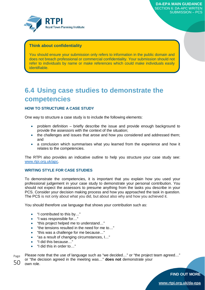

### **Think about confidentiality**

You should ensure your submission only refers to information in the public domain and does not breach professional or commercial confidentiality. Your submission should not refer to individuals by name or make references which could make individuals easily identifiable.

### **6.4 Using case studies to demonstrate the competencies**

### **HOW TO STRUCTURE A CASE STUDY**

One way to structure a case study is to include the following elements:

- problem definition briefly describe the issue and provide enough background to provide the assessors with the context of the situation;
- the challenges and issues that arose and how you considered and addressed them; and
- a conclusion which summarises what you learned from the experience and how it relates to the competencies.

The RTPI also provides an indicative outline to help you structure your case study see: [www.rtpi.org.uk/apc.](http://www.rtpi.org.uk/apc)

### **WRITING STYLE FOR CASE STUDIES**

To demonstrate the competencies, it is important that you explain how you used your professional judgement in your case study to demonstrate your personal contribution. You should not expect the assessors to presume anything from the tasks you describe in your PCS. Consider your decision making process and how you approached the task in question. The PCS is not only about what you did, but about also why and how you achieved it.

You should therefore use language that shows your contribution such as:

- "I contributed to this by..."
- "I was responsible for..."
- "this project helped me to understand…"
- "the tensions resulted in the need for me to…"
- "this was a challenge for me because…"
- "as a result of changing circumstances, I..."<br>• "I did this because "
- "I did this because…"
- "I did this in order to…"

Page 50 Please note that the use of language such as "we decided…" or "the project team agreed…" or "the decision agreed in the meeting was…" **does not** demonstrate your own role.

**FIND OUT MORE**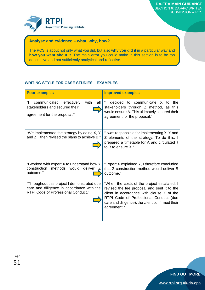

### **Analyse and evidence – what, why, how?**

The PCS is about not only what you did, but also **why you did it** in a particular way and **how you went about it**. The main error you could make in this section is to be too descriptive and not sufficiently analytical and reflective.

### **WRITING STYLE FOR CASE STUDIES – EXAMPLES**

| <b>Poor examples</b>                                                                                                                   | <b>Improved examples</b>                                                                                                                                                                                                                            |
|----------------------------------------------------------------------------------------------------------------------------------------|-----------------------------------------------------------------------------------------------------------------------------------------------------------------------------------------------------------------------------------------------------|
| $\mathbf{u}$<br>with<br>communicated<br>effectively<br>all<br>stakeholders and secured their<br>agreement for the proposal."           | $\mathbf{u}$<br>decided<br>to communicate X to<br>the<br>stakeholders through Z method, as this<br>would ensure A. This ultimately secured their<br>agreement for the proposal."                                                                    |
| "We implemented the strategy by doing X, Y<br>and Z. I then revised the plans to achieve B."                                           | "I was responsible for implementing X, Y and<br>Z elements of the strategy. To do this, I<br>prepared a timetable for A and circulated it<br>to B to ensure X."                                                                                     |
| "I worked with expert X to understand how Y<br>construction<br>methods<br>would<br>deliver<br>outcome."                                | "Expert X explained Y, I therefore concluded<br>that Z construction method would deliver B<br>outcome."                                                                                                                                             |
| "Throughout this project I demonstrated due<br>care and diligence in accordance with the<br><b>RTPI Code of Professional Conduct."</b> | "When the costs of the project escalated, I<br>revised the fee proposal and sent it to the<br>client in accordance with clause X of the<br>RTPI Code of Professional Conduct (due<br>care and diligence); the client confirmed their<br>agreement." |

**FIND OUT MORE**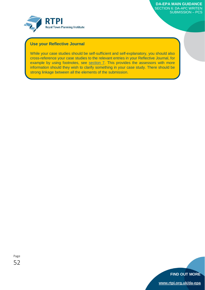

### **Use your Reflective Journal**

While your case studies should be self-sufficient and self-explanatory, you should also cross-reference your case studies to the relevant entries in your Reflective Journal, for example by using footnotes, see section 7. This provides the assessors with more information should they wish to clarify something in your case study. There should be strong linkage between all the elements of the submission.

**FIND OUT MORE**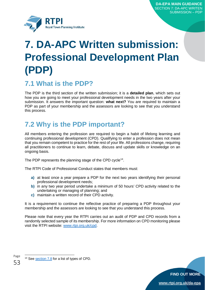

# **7. DA-APC Written submission: Professional Development Plan (PDP)**

### **7.1 What is the PDP?**

The PDP is the third section of the written submission; it is a **detailed plan**, which sets out how you are going to meet your professional development needs in the two years after your submission. It answers the important question: **what next?** You are required to maintain a PDP as part of your membership and the assessors are looking to see that you understand this process.

# **7.2 Why is the PDP important?**

All members entering the profession are required to begin a habit of lifelong learning and continuing professional development (CPD). Qualifying to enter a profession does not mean that you remain competent to practice for the rest of your life. All professions change, requiring all practitioners to continue to learn, debate, discuss and update skills or knowledge on an ongoing basis.

The PDP represents the planning stage of the CPD cycle<sup>14</sup>.

The RTPI Code of Professional Conduct states that members must:

- **a)** at least once a year prepare a PDP for the next two years identifying their personal professional development needs;
- **b)** in any two year period undertake a minimum of 50 hours' CPD activity related to the undertaking or managing of planning; and
- **c)** maintain a written record of their CPD activity.

It is a requirement to continue the reflective practice of preparing a PDP throughout your membership and the assessors are looking to see that you understand this process.

Please note that every year the RTPI carries out an audit of PDP and CPD records from a randomly selected sample of its membership. For more information on CPD monitoring please visit the RTPI website: [www.rtpi.org.uk/cpd.](http://www.rtpi.org.uk/cpd)

<span id="page-52-0"></span>Page 53 **.** <sup>14</sup> See [section 7.8](#page-59-0) for a list of types of CPD.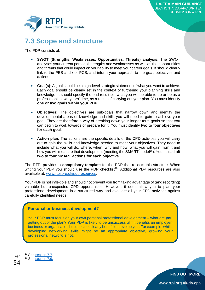**DA-EPA MAIN GUIDANCE** SECTION 7: DA-APC WRITEN SUBMISSION – PDP



### **7.3 Scope and structure**

The PDP consists of:

- **SWOT (Strengths, Weaknesses, Opportunities, Threats) analysis**: The SWOT analyses your current personal strengths and weaknesses as well as the opportunities and threats that could impact on your ability to meet your career goals. It should clearly link to the PES and / or PCS, and inform your approach to the goal, objectives and actions.
- **Goal(s)**: A goal should be a high-level strategic statement of what you want to achieve. Each goal should be clearly set in the context of furthering your planning skills and knowledge. It should specify the end result i.e. what you will be able to do or be as a professional in two years' time, as a result of carrying out your plan. You must identify **one or two goals within your PDP**.
- **Objectives**: The objectives are sub-goals that narrow down and identify the developmental areas of knowledge and skills you will need to gain to achieve your goal. They are therefore a way of breaking down your longer term goals so that you can begin to work towards or prepare for it. You must identify **two to four objectives for each goal**.
- **Action plan**: The actions are the specific details of the CPD activities you will carry out to gain the skills and knowledge needed to meet your objectives. They need to include what you will do, where, when, why and how, what you will gain from it and how you will measure that development (meeting the SMART model<sup>[15](#page-53-0)</sup>). You must draft **two to four SMART actions for each objective**.

The RTPI provides a **compulsory template** for the PDP that reflects this structure. When writing your PDP you should use the PDP checklist<sup>[16](#page-53-1)</sup>. Additional PDP resources are also available at: [www.rtpi.org.uk/pdpresources.](http://www.rtpi.org.uk/pdpresources)

Your PDP is not inflexible and should not prevent you from taking advantage of (and recording) valuable but unexpected CPD opportunities. However, it does allow you to plan your professional development in a structured way and evaluate all your CPD activities against carefully identified needs.

### **Personal or business development?**

Your PDP must focus on your own personal professional development – what are **you** getting out of the plan? Your PDP is likely to be unsuccessful if it benefits an employer, business or organisation but does not clearly benefit or develop you. For example, whilst developing networking skills might be an appropriate objective, growing your professional network is not.

<span id="page-53-1"></span><span id="page-53-0"></span>Page 54

1

<sup>15</sup> See [section 7.7.](#page-57-0) <sup>16</sup> See [section 7.9.](#page-60-0)

**FIND OUT MORE**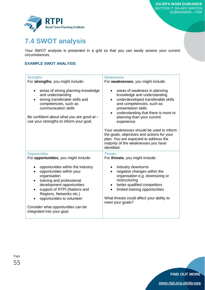**DA-EPA MAIN GUIDANCE** SECTION 7: DA-APC WRITEN SUBMISSION – PDP



## **7.4 SWOT analysis**

Your SWOT analysis is presented in a grid so that you can easily assess your current circumstances.

### **EXAMPLE SWOT ANALYSIS**

| <b>Strengths</b>                                                                                                                                                                                                                                                                                                   | Weaknesses                                                                                                                                                                                                                                                                                                      |
|--------------------------------------------------------------------------------------------------------------------------------------------------------------------------------------------------------------------------------------------------------------------------------------------------------------------|-----------------------------------------------------------------------------------------------------------------------------------------------------------------------------------------------------------------------------------------------------------------------------------------------------------------|
| For strengths, you might include:                                                                                                                                                                                                                                                                                  | For weaknesses, you might include:                                                                                                                                                                                                                                                                              |
| areas of strong planning knowledge<br>٠<br>and understanding<br>strong transferable skills and<br>competencies, such as<br>communication skills<br>Be confident about what you are good at $-$<br>use your strengths to inform your goal.                                                                          | areas of weakness in planning<br>$\bullet$<br>knowledge and understanding<br>underdeveloped transferable skills<br>$\bullet$<br>and competencies, such as<br>presentation skills<br>understanding that there is more to<br>planning than your current<br>experience<br>Your weaknesses should be used to inform |
|                                                                                                                                                                                                                                                                                                                    | the goals, objectives and actions for your<br>plan. You are expected to address the<br>majority of the weaknesses you have<br>identified.                                                                                                                                                                       |
| Opportunities<br>For opportunities, you might include:                                                                                                                                                                                                                                                             | <b>Threats</b><br>For threats, you might include:                                                                                                                                                                                                                                                               |
| opportunities within the industry<br>opportunities within your<br>organisation<br>training and professional<br>$\bullet$<br>development opportunities<br>support of RTPI (Nations and<br>Regions, Networks etc.)<br>opportunities to volunteer<br>Consider what opportunities can be<br>integrated into your goal. | industry downturns<br>negative changes within the<br>organisation e.g. downsizing or<br>restructuring<br>better qualified competitors<br>limited training opportunities<br>What threats could affect your ability to<br>meet your goals?                                                                        |
|                                                                                                                                                                                                                                                                                                                    |                                                                                                                                                                                                                                                                                                                 |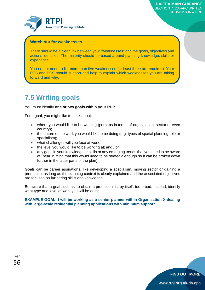

### **Watch out for weaknesses**

There should be a clear link between your "weaknesses" and the goals, objectives and actions identified. The majority should be based around planning knowledge, skills or experience.

You do not need to list more than five weaknesses (at least three are required). Your PES and PCS should support and help to explain which weaknesses you are taking forward and why.

# **7.5 Writing goals**

You must identify **one or two goals within your PDP**.

For a goal, you might like to think about:

- where you would like to be working (perhaps in terms of organisation, sector or even country);
- the nature of the work you would like to be doing (e.g. types of spatial planning role or specialism);
- what challenges will you face at work;
- the level you would like to be working at; and / or
- any gaps in your knowledge or skills or any emerging trends that you need to be aware of (bear in mind that this would need to be strategic enough so it can be broken down further in the latter parts of the plan).

Goals can be career aspirations, like developing a specialism, moving sector or gaining a promotion, as long as the planning context is clearly explained and the associated objectives are focused on furthering skills and knowledge.

Be aware that a goal such as 'to obtain a promotion' is, by itself, too broad. Instead, identify what type and level of work you will be doing.

#### **EXAMPLE GOAL: I will be working as a senior planner within Organisation X dealing with large-scale residential planning applications with minimum support.**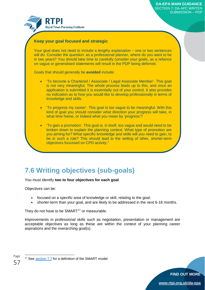

### **Keep your goal focused and strategic**

Your goal does not need to include a lengthy explanation – one or two sentences will do. Consider the question: as a professional planner, where do you want to be in two years? You should take time to carefully consider your goals, as a reliance on vague or generalised statements will result in the PDP being deferred.

Goals that should generally be **avoided** include:

- 'To become a Chartered / Associate / Legal Associate Member'. This goal is not very meaningful. The whole process leads up to this, and once an application is submitted it is essentially out of your control. It also provides no indication as to how you would like to develop professionally in terms of knowledge and skills.
- 'To progress my career'. This goal is too vague to be meaningful. With this kind of goal you should consider what direction your progress will take, in what time frame, or indeed what you mean by 'progress'?
- 'To gain a promotion'. This goal is, in itself, too vague and would need to be broken down to explain the planning context. What type of promotion are you aiming for? What specific knowledge and skills will you need to gain, to be in such a role? This should lead to the setting of other, shorter-term objectives focussed on CPD activity."

## **7.6 Writing objectives (sub-goals)**

You must identify **two to four objectives for each goal**.

Objectives can be:

- focused on a specific area of knowledge or skill, relating to the goal;
- shorter-term than your goal, and are likely to be addressed in the next 6-18 months.

They do not have to be SMART<sup>[17](#page-56-0)</sup> or measurable.

Improvements in professional skills such as negotiation, presentation or management are acceptable objectives as long as these are within the context of your planning career aspirations and the overarching goal(s).

<span id="page-56-0"></span>Page 57 **.** <sup>17</sup> See [section 7.7](#page-57-0) for a definition of the SMART model.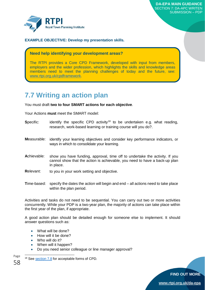

### **EXAMPLE OBJECTIVE: Develop my presentation skills.**

### **Need help identifying your development areas?**

The RTPI provides a Core CPD Framework, developed with input from members, employers and the wider profession, which highlights the skills and knowledge areas members need to meet the planning challenges of today and the future, see: [www.rtpi.org.uk/cpdframework.](http://www.rtpi.org.uk/cpdframework)

### <span id="page-57-0"></span>**7.7 Writing an action plan**

You must draft **two to four SMART actions for each objective**.

Your Actions **must** meet the SMART model:

- **Specific:** identify the specific CPD activity<sup>[18](#page-57-1)</sup> to be undertaken e.g. what reading, research, work-based learning or training course will you do?.
- **M**easurable: identify your learning objectives and consider key performance indicators, or ways in which to consolidate your learning.
- **A**chievable: show you have funding, approval, time off to undertake the activity. If you cannot show that the action is achievable, you need to have a back-up plan in place.
- **R**elevant: to you in your work setting and objective.
- **T**ime-based: specify the dates the action will begin and end all actions need to take place within the plan period.

Activities and tasks do not need to be sequential. You can carry out two or more activities concurrently. While your PDP is a two-year plan, the majority of actions can take place within the first year of the plan, if appropriate.

A good action plan should be detailed enough for someone else to implement. It should answer questions such as:

- What will be done?
- How will it be done?
- Who will do it?
- When will it happen?
- Do you need senior colleague or line manager approval?

<span id="page-57-1"></span>Page **.** <sup>18</sup> See [section 7.8](#page-59-0) for acceptable forms of CPD.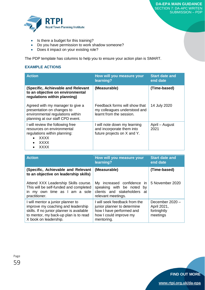

- Is there a budget for this training?
- Do you have permission to work shadow someone?
- Does it impact on your existing role?

The PDP template has columns to help you to ensure your action plan is SMART.

### **EXAMPLE ACTIONS**

| <b>Action</b>                                                                                                                               | How will you measure your<br>learning?                                                    | <b>Start date and</b><br>end date |
|---------------------------------------------------------------------------------------------------------------------------------------------|-------------------------------------------------------------------------------------------|-----------------------------------|
| (Specific, Achievable and Relevant<br>to an objective on environmental<br>regulations within planning)                                      | (Measurable)                                                                              | (Time-based)                      |
| Agreed with my manager to give a<br>presentation on changes to<br>environmental regulations within<br>planning at our staff CPD event.      | Feedback forms will show that<br>my colleagues understood and<br>learnt from the session. | 14 July 2020                      |
| I will review the following free<br>resources on environmental<br>regulations within planning:<br><b>XXXX</b><br><b>XXXX</b><br><b>XXXX</b> | I will note down my learning<br>and incorporate them into<br>future projects on X and Y.  | April – August<br>2021            |

| <b>Action</b>                                                                                                                                                                          | How will you measure your<br>learning?                                                                                           | <b>Start date and</b><br>end date                           |
|----------------------------------------------------------------------------------------------------------------------------------------------------------------------------------------|----------------------------------------------------------------------------------------------------------------------------------|-------------------------------------------------------------|
| (Specific, Achievable and Relevant<br>to an objective on leadership skills)                                                                                                            | (Measurable)                                                                                                                     | (Time-based)                                                |
| Attend XXX Leadership Skills course.<br>This will be self-funded and completed<br>in my own time as I am a sole<br>practitioner.                                                       | My increased confidence in<br>speaking with be noted<br>bv<br>clients and stakeholders at<br>relevant meetings.                  | 5 November 2020                                             |
| I will mentor a junior planner to<br>improve my coaching and leadership<br>skills. If no junior planner is available<br>to mentor, my back-up plan is to read<br>X book on leadership. | I will seek feedback from the<br>junior planner to determine<br>how I have performed and<br>how I could improve my<br>mentoring. | December $2020 -$<br>April 2021,<br>fortnightly<br>meetings |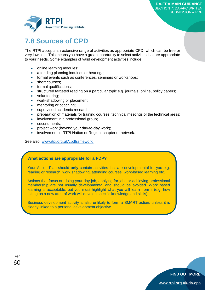

### <span id="page-59-0"></span>**7.8 Sources of CPD**

The RTPI accepts an extensive range of activities as appropriate CPD, which can be free or very low cost. This means you have a great opportunity to select activities that are appropriate to your needs. Some examples of valid development activities include:

- online learning modules;
- attending planning inquiries or hearings;
- formal events such as conferences, seminars or workshops;
- short courses:
- formal qualifications;
- structured targeted reading on a particular topic e.g. journals, online, policy papers;
- volunteering:
- work-shadowing or placement:
- mentoring or coaching;
- supervised academic research;
- preparation of materials for training courses, technical meetings or the technical press;
- involvement in a professional group:
- secondments:
- project work (beyond your day-to-day work);
- involvement in RTPI Nation or Region, chapter or network.

See also: [www.rtpi.org.uk/cpdframework.](http://www.rtpi.org.uk/cpdframework)

### **What actions are appropriate for a PDP?**

Your Action Plan should **only** contain activities that are developmental for you e.g. reading or research, work shadowing, attending courses, work-based learning etc.

Actions that focus on doing your day job, applying for jobs or achieving professional membership are not usually developmental and should be avoided. Work based learning is acceptable, but you must highlight what you will learn from it (e.g. how taking on a new area of work will develop specific knowledge and skills).

Business development activity is also unlikely to form a SMART action, unless it is clearly linked to a personal development objective.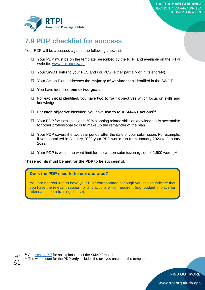

## <span id="page-60-0"></span>**7.9 PDP checklist for success**

Your PDP will be assessed against the following checklist:

- $\Box$  Your PDP must be on the template prescribed by the RTPI and available on the RTPI website: [www.rtpi.org.uk/apc](http://www.rtpi.org.uk/apc)
- Your **SWOT links** to your PES and / or PCS (either partially or in its entirety).
- Your Action Plan addresses the **majority of weaknesses** identified in the SWOT.
- You have identified **one or two goals**.
- For **each goal** identified, you have **two to four objectives** which focus on skills and knowledge.
- For **each objective** identified, you have **two to four SMART actions[19](#page-60-1)**.
- $\Box$  Your PDP focuses on at least 50% planning related skills or knowledge. It is acceptable for other professional skills to make up the remainder of the plan.
- Your PDP covers the two-year period **after** the date of your submission. For example, if you submitted in January 2020 your PDP would run from January 2020 to January 2022.
- $\Box$  Your PDP is within the word limit for the written submission (quide of 1,500 words)<sup>20</sup>.

### **These points must be met for the PDP to be successful.**

### **Does the PDP need to be corroborated?**

You are not required to have your PDP corroborated although you should indicate that you have the relevant support for any actions which require it (e.g. budget in place for attendance on a training course).

1

<span id="page-60-1"></span>Page <sup>19</sup> See [section 7.7](#page-57-0) for an explanation of the SMART model.

<span id="page-60-2"></span><sup>61</sup> <sup>20</sup> The word count for the PDP **only** includes the text you enter into the template.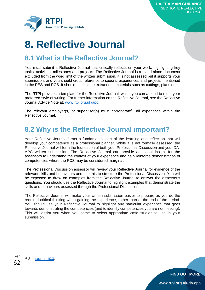

# **8. Reflective Journal**

### <span id="page-61-1"></span>**8.1 What is the Reflective Journal?**

You must submit a Reflective Journal that critically reflects on your work, highlighting key tasks, activities, milestones and projects. The Reflective Journal is a stand-alone document excluded from the word limit of the written submission. It is not assessed but it supports your submission, and you should cross reference to specific experiences and projects mentioned in the PES and PCS. It should not include extraneous materials such as cuttings, plans etc.

The RTPI provides a template for the Reflective Journal, which you can amend to meet your preferred style of writing. For further information on the Reflective Journal, see the Reflective Journal Advice Note at: [www.rtpi.org.uk/apc.](http://www.rtpi.org.uk/apc)

The relevant employer(s) or supervisor(s) must corroborate<sup>[21](#page-61-0)</sup> all experience within the Reflective Journal.

### **8.2 Why is the Reflective Journal important?**

Your Reflective Journal forms a fundamental part of the learning and reflection that will develop your competence as a professional planner. While it is not formally assessed, the Reflective Journal will form the foundation of both your Professional Discussion and your DA-APC written submission. The Reflective Journal can provide additional insight for the assessors to understand the context of your experience and help reinforce demonstration of competencies where the PCS may be considered marginal.

The Professional Discussion assessor will review your Reflective Journal for evidence of the relevant skills and behaviours and use this to structure the Professional Discussion. You will be expected to draw on examples from the Reflective Journal to answer the assessor's questions. You should use the Reflective Journal to highlight examples that demonstrate the skills and behaviours assessed through the Professional Discussion.

The Reflective Journal will make your written submission easier to prepare as you do the required critical thinking when gaining the experience, rather than at the end of the period. You should use your Reflective Journal to highlight any particular experience that goes towards demonstrating the competencies (and to identify competencies you are not meeting). This will assist you when you come to select appropriate case studies to use in your submission.

<span id="page-61-0"></span>Page 62 **.** <sup>21</sup> See [section 10.3.](#page-69-0)

**FIND OUT MORE**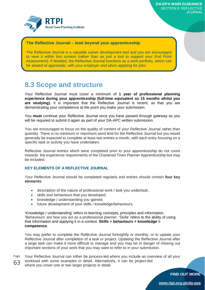

### **The Reflective Journal – look beyond your apprenticeship**

The Reflective Journal is a valuable career development tool and you are encouraged to view it within this context (rather than as just a tool to support your End Point Assessment). If detailed, the Reflective Journal functions as a work portfolio, which can be shared at appraisals, with your employer and when applying for jobs.

### **8.3 Scope and structure**

Your Reflective Journal must cover a minimum of **1 year of professional planning experience during your apprenticeship (full-time equivalent so 15 months whilst you are studying)**. It is important that the Reflective Journal is recent, so that you are demonstrating your competence at the point you make your submission.

You **must** continue your Reflective Journal once you have passed through gateway as you will be required to submit it again as part of your DA-APC written submission.

You are encouraged to focus on the quality of content of your Reflective Journal rather than quantity. There is no minimum or maximum word limit for the Reflective Journal but you would generally be expected to complete at least two entries a month, with each entry focusing on a specific task or activity you have undertaken.

Reflective Journal entries which were completed prior to your apprenticeship do not count towards the experience requirements of the Chartered Town Planner Apprenticeship but may be included.

#### **KEY ELEMENTS OF A REFLECTIVE JOURNAL**

Your Reflective Journal should be completed regularly and entries should contain **four key elements**:

- description of the nature of professional work / task you undertook;
- skills and behaviours that you developed;
- knowledge / understanding you gained;
- future development of your skills / knowledge/behaviours.

'Knowledge / understanding' refers to learning concepts, principles and information. 'Behaviours' are how you act as a professional planner. 'Skills' refers to the ability of using that information and applying it in a context. **Skills + behaviours + knowledge = competence**.

You may prefer to complete the Reflective Journal fortnightly or monthly, or to update your Reflective Journal after completion of a task or project. Updating the Reflective Journal after a large task can make it more difficult to manage and you may be in danger of missing out important sections of your work that you may want to refer to in your submission.

Page 63 Your Reflective Journal can either be process-led where you include an overview of all your workload with some examples in detail. Alternatively, it can be project-led where you cover one or two larger projects in detail.

**FIND OUT MORE**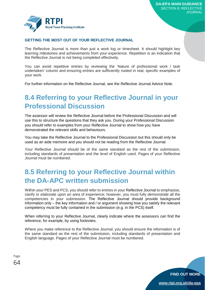

### **GETTING THE MOST OUT OF YOUR REFLECTIVE JOURNAL**

The Reflective Journal is more than just a work log or timesheet. It should highlight key learning milestones and achievements from your experience. Repetition is an indication that the Reflective Journal is not being completed effectively.

You can avoid repetitive entries by reviewing the 'Nature of professional work / task undertaken' column and ensuring entries are sufficiently rooted in real, specific examples of your work.

For further information on the Reflective Journal, see the Reflective Journal Advice Note.

### **8.4 Referring to your Reflective Journal in your Professional Discussion**

The assessor will review the Reflective Journal before the Professional Discussion and will use this to structure the questions that they ask you. During your Professional Discussion you should refer to examples from your Reflective Journal to show how you have demonstrated the relevant skills and behaviours.

You may take the Reflective Journal to the Professional Discussion but this should only be used as an aide memoire and you should not be reading from the Reflective Journal.

Your Reflective Journal should be of the same standard as the rest of the submission, including standards of presentation and the level of English used. Pages of your Reflective Journal must be numbered.

### **8.5 Referring to your Reflective Journal within the DA-APC written submission**

Within your PES and PCS, you should refer to entries in your Reflective Journal to emphasise, clarify or elaborate upon an area of experience; however, you must fully demonstrate all the competencies in your submission. The Reflective Journal should provide background information only – the key information and / or argument showing how you satisfy the relevant competency must be fully contained in the submission (e.g. in the PCS) itself.

When referring to your Reflective Journal, clearly indicate where the assessors can find the reference, for example, by using footnotes.

Where you make reference to the Reflective Journal, you should ensure the information is of the same standard as the rest of the submission, including standards of presentation and English language. Pages of your Reflective Journal must be numbered.

**FIND OUT MORE**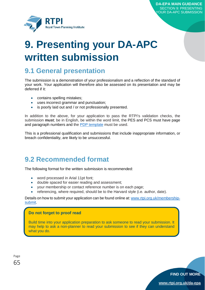

# **9. Presenting your DA-APC written submission**

### **9.1 General presentation**

The submission is a demonstration of your professionalism and a reflection of the standard of your work. Your application will therefore also be assessed on its presentation and may be deferred if it:

- contains spelling mistakes;
- uses incorrect grammar and punctuation;
- is poorly laid out and / or not professionally presented.

In addition to the above, for your application to pass the RTPI's validation checks, the submission **must**; be in English, be within the word limit, the PES and PCS must have page and paragraph numbers and the [PDP template](https://www.rtpi.org.uk/media/1201280/rtpi_pdp_template_feb_2018.docx) must be used.

This is a professional qualification and submissions that include inappropriate information, or breach confidentiality, are likely to be unsuccessful.

### **9.2 Recommended format**

The following format for the written submission is recommended:

- word processed in Arial 11pt font;
- double spaced for easier reading and assessment;
- your membership or contact reference number is on each page;
- referencing, where required, should be to the Harvard style (i.e. author, date).

Details on how to submit your application can be found online at[: www.rtpi.org.uk/membership](http://www.rtpi.org.uk/membership-submit)[submit.](http://www.rtpi.org.uk/membership-submit)

### **Do not forget to proof read**

Build time into your application preparation to ask someone to read your submission. It may help to ask a non-planner to read your submission to see if they can understand what you do.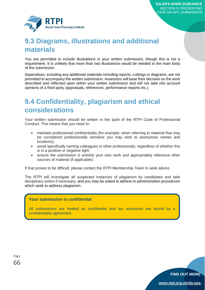**DA-EPA MAIN GUIDANCE** SECTION 9: PRESENTING YOUR DA-APC SUBMISSION



## **9.3 Diagrams, illustrations and additional materials**

You are permitted to include illustrations in your written submission, though this is not a requirement. It is unlikely that more than two illustrations would be needed in the main body of the submission.

Appendices, including any additional materials including reports, cuttings or diagrams, are not permitted to accompany the written submission. Assessors will base their decision on the work described and reflected upon within your written submission and will not take into account opinions of a third party (appraisals, references, performance reports etc.).

## **9.4 Confidentiality, plagiarism and ethical considerations**

Your written submission should be written in the spirit of the RTPI Code of Professional Conduct. This means that you need to:

- maintain professional confidentiality (for example, when referring to material that may be considered professionally sensitive you may wish to anonymise names and locations);
- avoid specifically naming colleagues or other professionals, regardless of whether this is in a positive or negative light;
- ensure the submission is entirely your own work and appropriately reference other sources of material (if applicable).

If that proves to be difficult, please contact the RTPI Membership Team to seek advice.

The RTPI will investigate all suspected instances of plagiarism by candidates and take disciplinary action if necessary; and you may be asked to adhere to administration procedures which seek to address plagiarism.

### **Your submission is confidential**

All submissions are treated as confidential and our assessors are bound by a confidentiality agreement.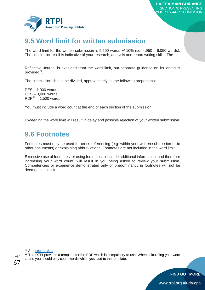

### **9.5 Word limit for written submission**

The word limit for the written submission is  $5,500$  words  $+/-10\%$  (i.e.  $4,950 - 6,050$  words). The submission itself is indicative of your research, analysis and report writing skills. The

Reflective Journal is excluded from the word limit, but separate guidance on its length is provided<sup>[22](#page-66-0)</sup>.

The submission should be divided, approximately, in the following proportions:

PES – 1,000 words PCS – 3,000 words  $PDP<sup>23</sup> - 1.500$  $PDP<sup>23</sup> - 1.500$  $PDP<sup>23</sup> - 1.500$  words

You must include a word count at the end of each section of the submission.

Exceeding the word limit will result in delay and possible rejection of your written submission.

### **9.6 Footnotes**

Footnotes must only be used for cross referencing (e.g. within your written submission or to other documents) or explaining abbreviations. Footnotes are not included in the word limit.

Excessive use of footnotes, or using footnotes to include additional information, and therefore increasing your word count, will result in you being asked to review your submission. Competencies or experience demonstrated only or predominantly in footnotes will not be deemed successful.



 $\overline{a}$ <sup>22</sup> See [section 8.1.](#page-61-1)

<span id="page-66-1"></span><span id="page-66-0"></span> $23$  The RTPI provides a template for the PDP which is compulsory to use. When calculating your word count, you should only count words which **you** add to the template.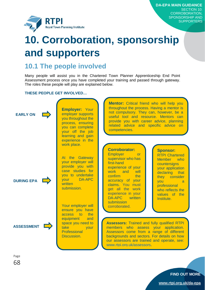

# **10. Corroboration, sponsorship and supporters**

### **10.1 The people involved**

Many people will assist you in the Chartered Town Planner Apprenticeship End Point Assessment process once you have completed your training and passed through gateway. The roles these people will play are explained below.

#### **THESE PEOPLE GET INVOLVED…**



**Employer:** Your employer supports you throughout the process, ensuring you can complete your off the job learning and gain experience in the work place.

At the Gateway your employer will provide you with case studies for you to undertake your DA-APC written submission.

**ASSESSMENT**

**DURING EPA**

Your employer will ensure you have access to the equipment and space you need to take your **Professional** Discussion.

**Mentor:** Critical friend who will help you throughout the process. Having a mentor is not compulsory. They can, however, be a useful tool and resource. Mentors can provide you with career advice, planning related advice and specific advice on competencies.

#### **Corroborator:**

Employer or supervisor who has first-hand experience of your work and will confirm the accuracy of your claims. You must get all the work experience in your DA-APC written submission corroborated.

#### **Sponsor:**

RTPI Chartered Member who **countersigns** your application declaring that they consider you a professional who reflects the values of the Institute.

**Assessors:** Trained and fully qualified RTPI members who assess your application. Assessors come from a range of different backgrounds and sectors. For details on how our assessors are trained and operate, see: [www.rtpi.org.uk/assessors.](http://www.rtpi.org.uk/assessors)

Page 68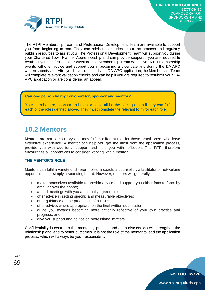

The RTPI Membership Team and Professional Development Team are available to support you from beginning to end. They can advise on queries about the process and regularly publish resources to assist you. The Professional Development Team will support you during your Chartered Town Planner Apprenticeship and can provide support if you are required to resubmit your Professional Discussion. The Membership Team will deliver RTPI membership events will offer advice and support you in becoming a Licentiate and during the DA-APC written submission. After you have submitted your DA-APC application, the Membership Team will complete relevant validation checks and can help if you are required to resubmit your DA-APC application or are considering an appeal.

#### **Can one person be my corroborator, sponsor and mentor?**

Your corroborator, sponsor and mentor could all be the same person if they can fulfil each of the roles defined above. They must complete the relevant form for each role.

### **10.2 Mentors**

Mentors are not compulsory and may fulfil a different role for those practitioners who have extensive experience. A mentor can help you get the most from the application process, provide you with additional support and help you with reflection. The RTPI therefore encourages all apprentices to consider working with a mentor.

### **THE MENTOR'S ROLE**

Mentors can fulfil a variety of different roles: a coach, a counsellor, a facilitator of networking opportunities, or simply a sounding board. However, mentors will generally:

- make themselves available to provide advice and support you either face-to-face, by email or over the phone;
- attend meetings with you at mutually agreed times:
- offer advice in setting specific and measurable objectives:
- offer quidance on the production of a PDP;
- offer advice, where appropriate, on the final written submission;
- guide you towards becoming more critically reflective of your own practice and progress; and
- give you support and advice on professional matters.

Confidentiality is central to the mentoring process and open discussions will strengthen the relationship and lead to better outcomes. It is not the role of the mentor to lead the application process, which will always be your responsibility.

**FIND OUT MORE**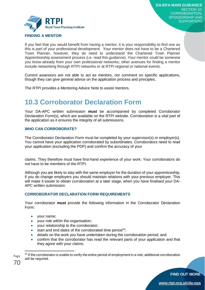

#### If you feel that you would benefit from having a mentor, it is your responsibility to find one as this is part of your professional development. Your mentor does not have to be a Chartered Town Planner, however, they do need to understand the Chartered Town Planner Apprenticeship assessment process (i.e. read this guidance). Your mentor could be someone you know already from your own professional networks; other avenues for finding a mentor include networking through RTPI networks or at RTPI regional or national events.

Current assessors are not able to act as mentors, nor comment on specific applications, though they can give general advice on the application process and principles.

The RTPI provides a Mentoring Advice Note to assist mentors.

### <span id="page-69-0"></span>**10.3 Corroborator Declaration Form**

Your DA-APC written submission **must** be accompanied by completed Corroborator Declaration Form(s), which are available on the RTPI website. Corroboration is a vital part of the application as it ensures the integrity of all submissions.

#### **WHO CAN CORROBORATE?**

The Corroborator Declaration Form must be completed by your supervisor(s) or employer(s). You cannot have your application corroborated by subordinates. Corroborators need to read your application (excluding the PDP) and confirm the accuracy of your

claims. They therefore must have first-hand experience of your work. Your corroborators do not have to be members of the RTPI.

Although you are likely to stay with the same employer for the duration of your apprenticeship, if you do change employers you should maintain relations with your previous employer. This will make it easier to obtain corroboration at a later stage, when you have finalised your DA-APC written submission.

### **CORROBORATOR DECLARATION FORM REQUIREMENTS**

Your corroborator **must** provide the following information in the Corroborator Declaration Form:

- your name;
- your role within the organisation;
- your relationship to the corroborator;
- $\bullet$  start and end dates of the corroborated time period<sup>24</sup>;
- details on the work you have undertaken during the corroboration period; and
- confirm that the corroborator has read the relevant parts of your application and that they agree with your claims.

1

**FIND OUT MORE**

<span id="page-69-1"></span>Page  $24$  If the corroborator is unable to verify the entire period of employment in a role, additional corroboration will be required.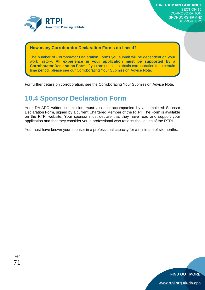

### **How many Corroborator Declaration Forms do I need?**

The number of Corroborator Declaration Forms you submit will be dependent on your work history. **All experience in your application must be supported by a Corroborator Declaration Form.** If you are unable to obtain corroboration for a certain time period, please see our Corroborating Your Submission Advice Note.

For further details on corroboration, see the Corroborating Your Submission Advice Note.

### **10.4 Sponsor Declaration Form**

Your DA-APC written submission **must** also be accompanied by a completed Sponsor Declaration Form, signed by a current Chartered Member of the RTPI. The Form is available on the RTPI website. Your sponsor must declare that they have read and support your application and that they consider you a professional who reflects the values of the RTPI.

You must have known your sponsor in a professional capacity for a minimum of six months.